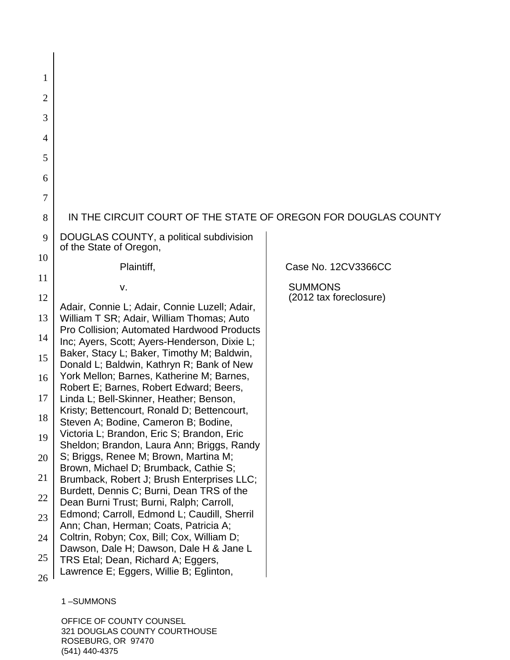| 1<br>$\overline{2}$<br>3<br>$\overline{4}$<br>5<br>6<br>7<br>IN THE CIRCUIT COURT OF THE STATE OF OREGON FOR DOUGLAS COUNTY<br>8<br>DOUGLAS COUNTY, a political subdivision<br>9<br>of the State of Oregon,<br>10<br>Plaintiff,<br>Case No. 12CV3366CC<br>11<br><b>SUMMONS</b><br>v.<br>(2012 tax foreclosure)<br>12<br>Adair, Connie L; Adair, Connie Luzell; Adair,<br>13<br>William T SR; Adair, William Thomas; Auto<br>Pro Collision; Automated Hardwood Products<br>14<br>Inc; Ayers, Scott; Ayers-Henderson, Dixie L;<br>Baker, Stacy L; Baker, Timothy M; Baldwin,<br>15<br>Donald L; Baldwin, Kathryn R; Bank of New<br>York Mellon; Barnes, Katherine M; Barnes,<br>16<br>Robert E; Barnes, Robert Edward; Beers,<br>17<br>Linda L; Bell-Skinner, Heather; Benson,<br>Kristy; Bettencourt, Ronald D; Bettencourt,<br>18<br>Steven A; Bodine, Cameron B; Bodine<br>Victoria L; Brandon, Eric S; Brandon, Eric<br>19<br>Sheldon; Brandon, Laura Ann; Briggs, Randy<br>S; Briggs, Renee M; Brown, Martina M;<br>20<br>Brown, Michael D; Brumback, Cathie S;<br>21<br>Brumback, Robert J; Brush Enterprises LLC;<br>Burdett, Dennis C; Burni, Dean TRS of the<br>22<br>Dean Burni Trust; Burni, Ralph; Carroll,<br>Edmond; Carroll, Edmond L; Caudill, Sherril<br>23<br>Ann; Chan, Herman; Coats, Patricia A;<br>Coltrin, Robyn; Cox, Bill; Cox, William D;<br>24<br>Dawson, Dale H; Dawson, Dale H & Jane L<br>25<br>TRS Etal; Dean, Richard A; Eggers,<br>Lawrence E; Eggers, Willie B; Eglinton,<br>26 |  |  |
|-----------------------------------------------------------------------------------------------------------------------------------------------------------------------------------------------------------------------------------------------------------------------------------------------------------------------------------------------------------------------------------------------------------------------------------------------------------------------------------------------------------------------------------------------------------------------------------------------------------------------------------------------------------------------------------------------------------------------------------------------------------------------------------------------------------------------------------------------------------------------------------------------------------------------------------------------------------------------------------------------------------------------------------------------------------------------------------------------------------------------------------------------------------------------------------------------------------------------------------------------------------------------------------------------------------------------------------------------------------------------------------------------------------------------------------------------------------------------------------------------------------------|--|--|
|                                                                                                                                                                                                                                                                                                                                                                                                                                                                                                                                                                                                                                                                                                                                                                                                                                                                                                                                                                                                                                                                                                                                                                                                                                                                                                                                                                                                                                                                                                                 |  |  |
|                                                                                                                                                                                                                                                                                                                                                                                                                                                                                                                                                                                                                                                                                                                                                                                                                                                                                                                                                                                                                                                                                                                                                                                                                                                                                                                                                                                                                                                                                                                 |  |  |
|                                                                                                                                                                                                                                                                                                                                                                                                                                                                                                                                                                                                                                                                                                                                                                                                                                                                                                                                                                                                                                                                                                                                                                                                                                                                                                                                                                                                                                                                                                                 |  |  |
|                                                                                                                                                                                                                                                                                                                                                                                                                                                                                                                                                                                                                                                                                                                                                                                                                                                                                                                                                                                                                                                                                                                                                                                                                                                                                                                                                                                                                                                                                                                 |  |  |
|                                                                                                                                                                                                                                                                                                                                                                                                                                                                                                                                                                                                                                                                                                                                                                                                                                                                                                                                                                                                                                                                                                                                                                                                                                                                                                                                                                                                                                                                                                                 |  |  |
|                                                                                                                                                                                                                                                                                                                                                                                                                                                                                                                                                                                                                                                                                                                                                                                                                                                                                                                                                                                                                                                                                                                                                                                                                                                                                                                                                                                                                                                                                                                 |  |  |
|                                                                                                                                                                                                                                                                                                                                                                                                                                                                                                                                                                                                                                                                                                                                                                                                                                                                                                                                                                                                                                                                                                                                                                                                                                                                                                                                                                                                                                                                                                                 |  |  |
|                                                                                                                                                                                                                                                                                                                                                                                                                                                                                                                                                                                                                                                                                                                                                                                                                                                                                                                                                                                                                                                                                                                                                                                                                                                                                                                                                                                                                                                                                                                 |  |  |
|                                                                                                                                                                                                                                                                                                                                                                                                                                                                                                                                                                                                                                                                                                                                                                                                                                                                                                                                                                                                                                                                                                                                                                                                                                                                                                                                                                                                                                                                                                                 |  |  |
|                                                                                                                                                                                                                                                                                                                                                                                                                                                                                                                                                                                                                                                                                                                                                                                                                                                                                                                                                                                                                                                                                                                                                                                                                                                                                                                                                                                                                                                                                                                 |  |  |
|                                                                                                                                                                                                                                                                                                                                                                                                                                                                                                                                                                                                                                                                                                                                                                                                                                                                                                                                                                                                                                                                                                                                                                                                                                                                                                                                                                                                                                                                                                                 |  |  |
|                                                                                                                                                                                                                                                                                                                                                                                                                                                                                                                                                                                                                                                                                                                                                                                                                                                                                                                                                                                                                                                                                                                                                                                                                                                                                                                                                                                                                                                                                                                 |  |  |
|                                                                                                                                                                                                                                                                                                                                                                                                                                                                                                                                                                                                                                                                                                                                                                                                                                                                                                                                                                                                                                                                                                                                                                                                                                                                                                                                                                                                                                                                                                                 |  |  |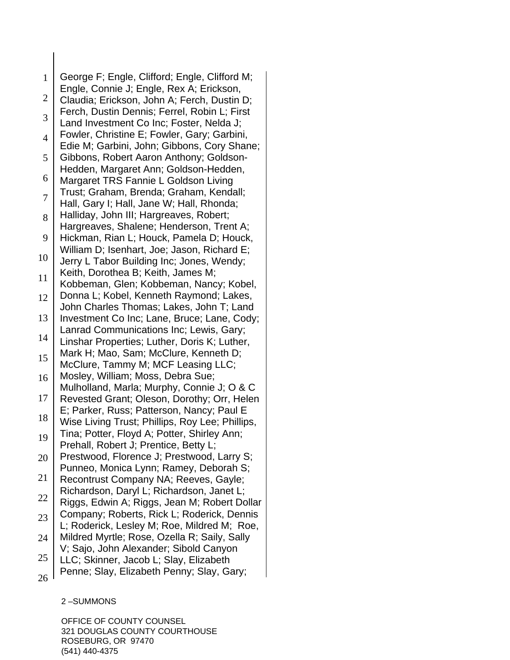1 2 3 4 5 6 7 8 9 10 11 12 13 14 15 16 17 18 19 20 21 22 23 24 25 26 George F; Engle, Clifford; Engle, Clifford M; Engle, Connie J; Engle, Rex A; Erickson, Claudia; Erickson, John A; Ferch, Dustin D; Ferch, Dustin Dennis; Ferrel, Robin L; First Land Investment Co Inc; Foster, Nelda J; Fowler, Christine E; Fowler, Gary; Garbini, Edie M; Garbini, John; Gibbons, Cory Shane; Gibbons, Robert Aaron Anthony; Goldson-Hedden, Margaret Ann; Goldson-Hedden, Margaret TRS Fannie L Goldson Living Trust; Graham, Brenda; Graham, Kendall; Hall, Gary I; Hall, Jane W; Hall, Rhonda; Halliday, John III; Hargreaves, Robert; Hargreaves, Shalene; Henderson, Trent A; Hickman, Rian L; Houck, Pamela D; Houck, William D; Isenhart, Joe; Jason, Richard E; Jerry L Tabor Building Inc; Jones, Wendy; Keith, Dorothea B; Keith, James M; Kobbeman, Glen; Kobbeman, Nancy; Kobel, Donna L; Kobel, Kenneth Raymond; Lakes, John Charles Thomas; Lakes, John T; Land Investment Co Inc; Lane, Bruce; Lane, Cody; Lanrad Communications Inc; Lewis, Gary; Linshar Properties; Luther, Doris K; Luther, Mark H; Mao, Sam; McClure, Kenneth D; McClure, Tammy M; MCF Leasing LLC; Mosley, William; Moss, Debra Sue; Mulholland, Marla; Murphy, Connie J; O & C Revested Grant; Oleson, Dorothy; Orr, Helen E; Parker, Russ; Patterson, Nancy; Paul E Wise Living Trust; Phillips, Roy Lee; Phillips, Tina; Potter, Floyd A; Potter, Shirley Ann; Prehall, Robert J; Prentice, Betty L; Prestwood, Florence J; Prestwood, Larry S; Punneo, Monica Lynn; Ramey, Deborah S; Recontrust Company NA; Reeves, Gayle; Richardson, Daryl L; Richardson, Janet L; Riggs, Edwin A; Riggs, Jean M; Robert Dollar Company; Roberts, Rick L; Roderick, Dennis L; Roderick, Lesley M; Roe, Mildred M; Roe, Mildred Myrtle; Rose, Ozella R; Saily, Sally V; Sajo, John Alexander; Sibold Canyon LLC; Skinner, Jacob L; Slay, Elizabeth Penne; Slay, Elizabeth Penny; Slay, Gary;

2 –SUMMONS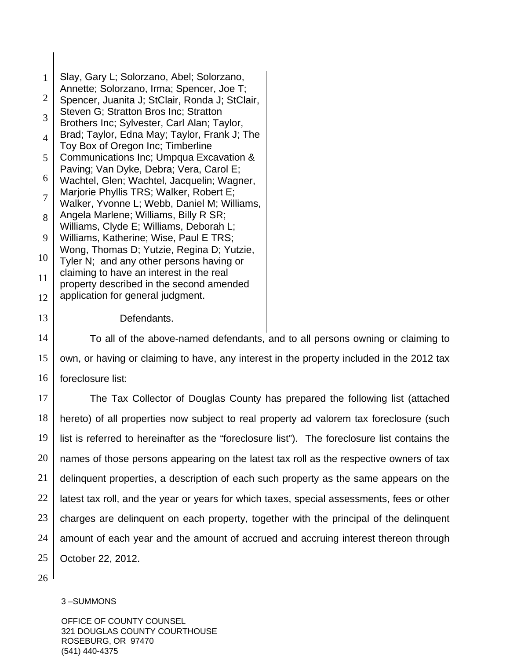| $\mathbf{1}$   | Slay, Gary L; Solorzano, Abel; Solorzano,                                                   |
|----------------|---------------------------------------------------------------------------------------------|
| $\overline{2}$ | Annette; Solorzano, Irma; Spencer, Joe T;<br>Spencer, Juanita J; StClair, Ronda J; StClair, |
| 3              | Steven G; Stratton Bros Inc; Stratton<br>Brothers Inc; Sylvester, Carl Alan; Taylor,        |
| $\overline{4}$ | Brad; Taylor, Edna May; Taylor, Frank J; The<br>Toy Box of Oregon Inc; Timberline           |
| 5              | Communications Inc; Umpqua Excavation &                                                     |
| 6              | Paving; Van Dyke, Debra; Vera, Carol E;<br>Wachtel, Glen; Wachtel, Jacquelin; Wagner,       |
| 7              | Marjorie Phyllis TRS; Walker, Robert E;<br>Walker, Yvonne L; Webb, Daniel M; Williams,      |
| 8              | Angela Marlene; Williams, Billy R SR;                                                       |
| 9              | Williams, Clyde E; Williams, Deborah L;<br>Williams, Katherine; Wise, Paul E TRS;           |
| 10             | Wong, Thomas D; Yutzie, Regina D; Yutzie,<br>Tyler N; and any other persons having or       |
| 11             | claiming to have an interest in the real                                                    |
| 12             | property described in the second amended<br>application for general judgment.               |
| 13             | Defendants.                                                                                 |
| 14             | To all of the above-named defendants,                                                       |
|                |                                                                                             |

15 16 and to all persons owning or claiming to own, or having or claiming to have, any interest in the property included in the 2012 tax foreclosure list:

17 18 19 20 21 22 23 24 25 The Tax Collector of Douglas County has prepared the following list (attached hereto) of all properties now subject to real property ad valorem tax foreclosure (such list is referred to hereinafter as the "foreclosure list"). The foreclosure list contains the names of those persons appearing on the latest tax roll as the respective owners of tax delinquent properties, a description of each such property as the same appears on the latest tax roll, and the year or years for which taxes, special assessments, fees or other charges are delinquent on each property, together with the principal of the delinquent amount of each year and the amount of accrued and accruing interest thereon through October 22, 2012.

26

#### 3 –SUMMONS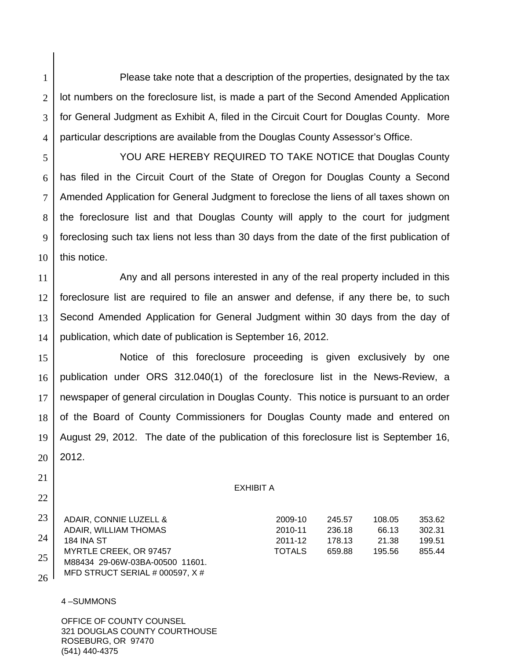Please take note that a description of the properties, designated by the tax lot numbers on the foreclosure list, is made a part of the Second Amended Application for General Judgment as Exhibit A, filed in the Circuit Court for Douglas County. More particular descriptions are available from the Douglas County Assessor's Office.

 YOU ARE HEREBY REQUIRED TO TAKE NOTICE that Douglas County has filed in the Circuit Court of the State of Oregon for Douglas County a Second Amended Application for General Judgment to foreclose the liens of all taxes shown on the foreclosure list and that Douglas County will apply to the court for judgment foreclosing such tax liens not less than 30 days from the date of the first publication of this notice.

11 12 13 14 Any and all persons interested in any of the real property included in this foreclosure list are required to file an answer and defense, if any there be, to such Second Amended Application for General Judgment within 30 days from the day of publication, which date of publication is September 16, 2012.

15 16 17 18 19 20 Notice of this foreclosure proceeding is given exclusively by one publication under ORS 312.040(1) of the foreclosure list in the News-Review, a newspaper of general circulation in Douglas County. This notice is pursuant to an order of the Board of County Commissioners for Douglas County made and entered on August 29, 2012. The date of the publication of this foreclosure list is September 16, 2012.

#### EXHIBIT A

|        | 23 ADAIR, CONNIE LUZELL &        | 2009-10       | 245.57 | 108.05 | 353.62 |
|--------|----------------------------------|---------------|--------|--------|--------|
|        | ADAIR, WILLIAM THOMAS            | 2010-11       | 236.18 | 66.13  | 302.31 |
| 24     | <b>184 INA ST</b>                | 2011-12       | 178.13 | 21.38  | 199.51 |
|        | MYRTLE CREEK, OR 97457           | <b>TOTALS</b> | 659.88 | 195.56 | 855.44 |
| 25     | M88434 29-06W-03BA-00500 11601.  |               |        |        |        |
| $\sim$ | MFD STRUCT SERIAL # 000597, $X#$ |               |        |        |        |

#### 4 –SUMMONS

1

2

3

4

5

6

7

8

9

10

21

22

 $26<sup>1</sup>$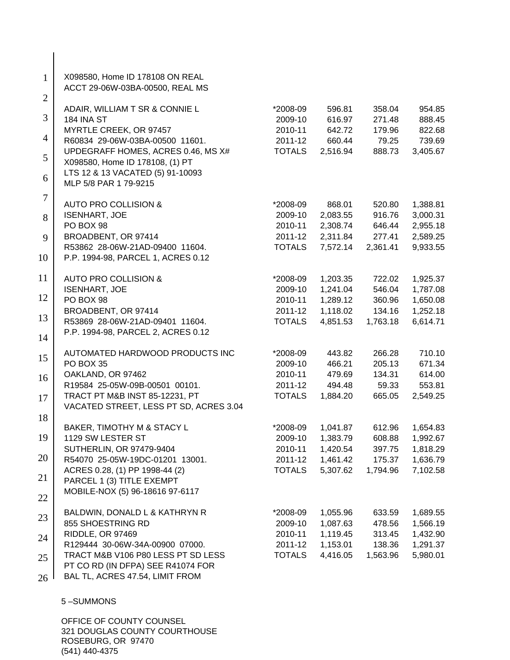| $\mathbf{1}$<br>$\overline{2}$ | X098580, Home ID 178108 ON REAL<br>ACCT 29-06W-03BA-00500, REAL MS       |                     |                      |                  |                      |
|--------------------------------|--------------------------------------------------------------------------|---------------------|----------------------|------------------|----------------------|
| 3                              | ADAIR, WILLIAM T SR & CONNIE L<br><b>184 INA ST</b>                      | *2008-09<br>2009-10 | 596.81<br>616.97     | 358.04<br>271.48 | 954.85<br>888.45     |
| $\overline{4}$                 | MYRTLE CREEK, OR 97457<br>R60834 29-06W-03BA-00500 11601.                | 2010-11<br>2011-12  | 642.72<br>660.44     | 179.96<br>79.25  | 822.68<br>739.69     |
| 5                              | UPDEGRAFF HOMES, ACRES 0.46, MS X#<br>X098580, Home ID 178108, (1) PT    | <b>TOTALS</b>       | 2,516.94             | 888.73           | 3,405.67             |
| 6                              | LTS 12 & 13 VACATED (5) 91-10093<br>MLP 5/8 PAR 1 79-9215                |                     |                      |                  |                      |
| $\tau$                         | <b>AUTO PRO COLLISION &amp;</b>                                          | *2008-09            | 868.01               | 520.80           | 1,388.81             |
| 8                              | <b>ISENHART, JOE</b><br>PO BOX 98                                        | 2009-10<br>2010-11  | 2,083.55<br>2,308.74 | 916.76<br>646.44 | 3,000.31<br>2,955.18 |
| 9                              | BROADBENT, OR 97414                                                      | 2011-12             | 2,311.84             | 277.41           | 2,589.25             |
| 10                             | R53862 28-06W-21AD-09400 11604.<br>P.P. 1994-98, PARCEL 1, ACRES 0.12    | <b>TOTALS</b>       | 7,572.14             | 2,361.41         | 9,933.55             |
| 11                             | <b>AUTO PRO COLLISION &amp;</b>                                          | *2008-09            | 1,203.35             | 722.02           | 1,925.37             |
| 12                             | <b>ISENHART, JOE</b>                                                     | 2009-10             | 1,241.04             | 546.04           | 1,787.08             |
|                                | PO BOX 98<br>BROADBENT, OR 97414                                         | 2010-11<br>2011-12  | 1,289.12<br>1,118.02 | 360.96<br>134.16 | 1,650.08<br>1,252.18 |
| 13                             | R53869 28-06W-21AD-09401 11604.                                          | <b>TOTALS</b>       | 4,851.53             | 1,763.18         | 6,614.71             |
| 14                             | P.P. 1994-98, PARCEL 2, ACRES 0.12                                       |                     |                      |                  |                      |
| 15                             | AUTOMATED HARDWOOD PRODUCTS INC<br>PO BOX 35                             | *2008-09<br>2009-10 | 443.82<br>466.21     | 266.28<br>205.13 | 710.10<br>671.34     |
| 16                             | OAKLAND, OR 97462                                                        | 2010-11             | 479.69               | 134.31           | 614.00               |
|                                | R19584 25-05W-09B-00501 00101.                                           | 2011-12             | 494.48               | 59.33            | 553.81               |
| 17                             | TRACT PT M&B INST 85-12231, PT<br>VACATED STREET, LESS PT SD, ACRES 3.04 | <b>TOTALS</b>       | 1,884.20             | 665.05           | 2,549.25             |
| 18                             | BAKER, TIMOTHY M & STACY L                                               | *2008-09            | 1,041.87             | 612.96           | 1,654.83             |
| 19                             | 1129 SW LESTER ST                                                        | 2009-10             | 1,383.79             | 608.88           | 1,992.67             |
|                                | SUTHERLIN, OR 97479-9404                                                 | 2010-11             | 1,420.54             | 397.75           | 1,818.29             |
| 20                             | R54070 25-05W-19DC-01201 13001.                                          | 2011-12             | 1,461.42             | 175.37           | 1,636.79             |
| 21                             | ACRES 0.28, (1) PP 1998-44 (2)<br>PARCEL 1 (3) TITLE EXEMPT              | <b>TOTALS</b>       | 5,307.62             | 1,794.96         | 7,102.58             |
| 22                             | MOBILE-NOX (5) 96-18616 97-6117                                          |                     |                      |                  |                      |
| 23                             | BALDWIN, DONALD L & KATHRYN R<br>855 SHOESTRING RD                       | *2008-09<br>2009-10 | 1,055.96<br>1,087.63 | 633.59<br>478.56 | 1,689.55<br>1,566.19 |
|                                | RIDDLE, OR 97469                                                         | 2010-11             | 1,119.45             | 313.45           | 1,432.90             |
| 24                             | R129444 30-06W-34A-00900 07000.                                          | 2011-12             | 1,153.01             | 138.36           | 1,291.37             |
| 25                             | TRACT M&B V106 P80 LESS PT SD LESS<br>PT CO RD (IN DFPA) SEE R41074 FOR  | <b>TOTALS</b>       | 4,416.05             | 1,563.96         | 5,980.01             |
| 26                             | BAL TL, ACRES 47.54, LIMIT FROM                                          |                     |                      |                  |                      |
|                                | 5-SUMMONS                                                                |                     |                      |                  |                      |

 $\overline{\phantom{a}}$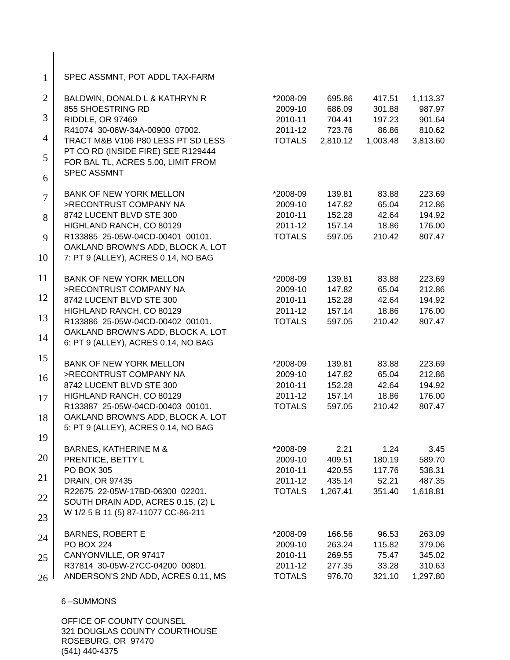| $\mathbf{1}$   | SPEC ASSMNT, POT ADDL TAX-FARM                                            |                    |                  |                  |                  |
|----------------|---------------------------------------------------------------------------|--------------------|------------------|------------------|------------------|
| $\overline{2}$ | BALDWIN, DONALD L & KATHRYN R                                             | *2008-09           | 695.86           | 417.51           | 1,113.37         |
| 3              | 855 SHOESTRING RD                                                         | 2009-10<br>2010-11 | 686.09<br>704.41 | 301.88<br>197.23 | 987.97<br>901.64 |
|                | RIDDLE, OR 97469<br>R41074 30-06W-34A-00900 07002.                        | 2011-12            | 723.76           | 86.86            | 810.62           |
| 4              | TRACT M&B V106 P80 LESS PT SD LESS                                        | <b>TOTALS</b>      | 2,810.12         | 1,003.48         | 3,813.60         |
| 5              | PT CO RD (INSIDE FIRE) SEE R129444<br>FOR BAL TL, ACRES 5.00, LIMIT FROM  |                    |                  |                  |                  |
| 6              | <b>SPEC ASSMNT</b>                                                        |                    |                  |                  |                  |
| $\overline{7}$ | <b>BANK OF NEW YORK MELLON</b>                                            | *2008-09           | 139.81           | 83.88            | 223.69           |
|                | >RECONTRUST COMPANY NA<br>8742 LUCENT BLVD STE 300                        | 2009-10<br>2010-11 | 147.82<br>152.28 | 65.04<br>42.64   | 212.86<br>194.92 |
| 8              | HIGHLAND RANCH, CO 80129                                                  | 2011-12            | 157.14           | 18.86            | 176.00           |
| 9              | R133885 25-05W-04CD-00401 00101.                                          | <b>TOTALS</b>      | 597.05           | 210.42           | 807.47           |
| 10             | OAKLAND BROWN'S ADD, BLOCK A, LOT<br>7: PT 9 (ALLEY), ACRES 0.14, NO BAG  |                    |                  |                  |                  |
| 11             | <b>BANK OF NEW YORK MELLON</b>                                            | *2008-09           | 139.81           | 83.88            | 223.69           |
|                | >RECONTRUST COMPANY NA                                                    | 2009-10            | 147.82           | 65.04            | 212.86           |
| 12             | 8742 LUCENT BLVD STE 300                                                  | 2010-11            | 152.28           | 42.64            | 194.92           |
|                | HIGHLAND RANCH, CO 80129                                                  | 2011-12            | 157.14           | 18.86            | 176.00           |
| 13             | R133886 25-05W-04CD-00402 00101.                                          | <b>TOTALS</b>      | 597.05           | 210.42           | 807.47           |
| 14             | OAKLAND BROWN'S ADD, BLOCK A, LOT<br>6: PT 9 (ALLEY), ACRES 0.14, NO BAG  |                    |                  |                  |                  |
| 15             | <b>BANK OF NEW YORK MELLON</b>                                            | *2008-09           | 139.81           | 83.88            | 223.69           |
|                | >RECONTRUST COMPANY NA                                                    | 2009-10            | 147.82           | 65.04            | 212.86           |
| 16             | 8742 LUCENT BLVD STE 300                                                  | 2010-11            | 152.28           | 42.64            | 194.92           |
| 17             | HIGHLAND RANCH, CO 80129                                                  | 2011-12            | 157.14           | 18.86            | 176.00           |
|                | R133887 25-05W-04CD-00403 00101.                                          | <b>TOTALS</b>      | 597.05           | 210.42           | 807.47           |
| 18             | OAKLAND BROWN'S ADD, BLOCK A, LOT<br>5: PT 9 (ALLEY), ACRES 0.14, NO BAG  |                    |                  |                  |                  |
| 19             |                                                                           |                    |                  |                  |                  |
|                | <b>BARNES, KATHERINE M &amp;</b>                                          | *2008-09           | 2.21             | 1.24             | 3.45             |
| 20             | PRENTICE, BETTY L                                                         | 2009-10            | 409.51           | 180.19           | 589.70           |
|                | <b>PO BOX 305</b>                                                         | 2010-11            | 420.55           | 117.76           | 538.31           |
| 21             | DRAIN, OR 97435                                                           | 2011-12            | 435.14           | 52.21            | 487.35           |
| 22             | R22675 22-05W-17BD-06300 02201.                                           | <b>TOTALS</b>      | 1,267.41         | 351.40           | 1,618.81         |
|                | SOUTH DRAIN ADD, ACRES 0.15, (2) L<br>W 1/2 5 B 11 (5) 87-11077 CC-86-211 |                    |                  |                  |                  |
| 23             |                                                                           |                    |                  |                  |                  |
| 24             | <b>BARNES, ROBERT E</b>                                                   | *2008-09           | 166.56           | 96.53            | 263.09           |
|                | <b>PO BOX 224</b>                                                         | 2009-10            | 263.24           | 115.82           | 379.06           |
| 25             | CANYONVILLE, OR 97417                                                     | 2010-11            | 269.55           | 75.47            | 345.02           |
|                | R37814 30-05W-27CC-04200 00801.                                           | 2011-12            | 277.35           | 33.28            | 310.63           |
| 26             | ANDERSON'S 2ND ADD, ACRES 0.11, MS                                        | <b>TOTALS</b>      | 976.70           | 321.10           | 1,297.80         |
|                | 6-SUMMONS                                                                 |                    |                  |                  |                  |
|                |                                                                           |                    |                  |                  |                  |

 $\overline{\phantom{a}}$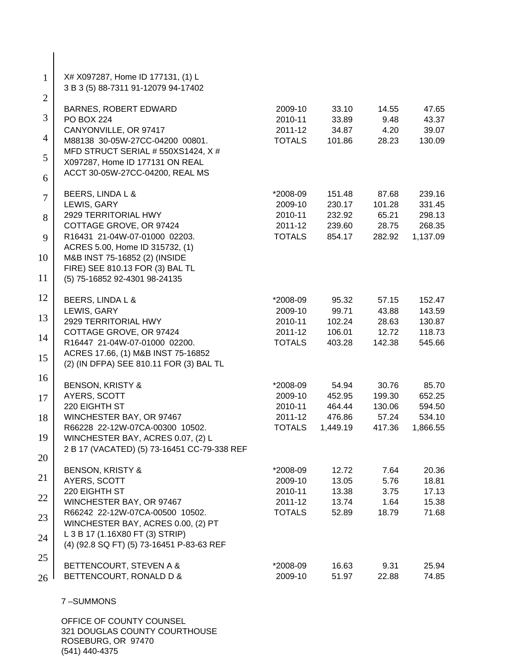| $\mathbf{1}$   | X# X097287, Home ID 177131, (1) L<br>3 B 3 (5) 88-7311 91-12079 94-17402 |               |          |        |          |
|----------------|--------------------------------------------------------------------------|---------------|----------|--------|----------|
| $\overline{2}$ | <b>BARNES, ROBERT EDWARD</b>                                             | 2009-10       | 33.10    | 14.55  | 47.65    |
| 3              | <b>PO BOX 224</b>                                                        | 2010-11       | 33.89    | 9.48   | 43.37    |
|                | CANYONVILLE, OR 97417                                                    | 2011-12       | 34.87    | 4.20   | 39.07    |
| 4              | M88138 30-05W-27CC-04200 00801.                                          | <b>TOTALS</b> | 101.86   | 28.23  | 130.09   |
|                | MFD STRUCT SERIAL # 550XS1424, X #                                       |               |          |        |          |
| 5              | X097287, Home ID 177131 ON REAL                                          |               |          |        |          |
| 6              | ACCT 30-05W-27CC-04200, REAL MS                                          |               |          |        |          |
| $\overline{7}$ | BEERS, LINDA L &                                                         | *2008-09      | 151.48   | 87.68  | 239.16   |
|                | LEWIS, GARY                                                              | 2009-10       | 230.17   | 101.28 | 331.45   |
| 8              | 2929 TERRITORIAL HWY                                                     | 2010-11       | 232.92   | 65.21  | 298.13   |
|                | COTTAGE GROVE, OR 97424                                                  | 2011-12       | 239.60   | 28.75  | 268.35   |
| 9              | R16431 21-04W-07-01000 02203.                                            | <b>TOTALS</b> | 854.17   | 282.92 | 1,137.09 |
|                | ACRES 5.00, Home ID 315732, (1)                                          |               |          |        |          |
| 10             | M&B INST 75-16852 (2) (INSIDE<br>FIRE) SEE 810.13 FOR (3) BAL TL         |               |          |        |          |
| 11             | (5) 75-16852 92-4301 98-24135                                            |               |          |        |          |
| 12             | BEERS, LINDA L &                                                         | *2008-09      | 95.32    | 57.15  | 152.47   |
|                | LEWIS, GARY                                                              | 2009-10       | 99.71    | 43.88  | 143.59   |
| 13             | 2929 TERRITORIAL HWY                                                     | 2010-11       | 102.24   | 28.63  | 130.87   |
|                | COTTAGE GROVE, OR 97424                                                  | 2011-12       | 106.01   | 12.72  | 118.73   |
| 14             | R16447 21-04W-07-01000 02200.                                            | <b>TOTALS</b> | 403.28   | 142.38 | 545.66   |
| 15             | ACRES 17.66, (1) M&B INST 75-16852                                       |               |          |        |          |
|                | (2) (IN DFPA) SEE 810.11 FOR (3) BAL TL                                  |               |          |        |          |
| 16             | <b>BENSON, KRISTY &amp;</b>                                              | *2008-09      | 54.94    | 30.76  | 85.70    |
| 17             | AYERS, SCOTT                                                             | 2009-10       | 452.95   | 199.30 | 652.25   |
|                | 220 EIGHTH ST                                                            | 2010-11       | 464.44   | 130.06 | 594.50   |
| 18             | WINCHESTER BAY, OR 97467                                                 | 2011-12       | 476.86   | 57.24  | 534.10   |
|                | R66228 22-12W-07CA-00300 10502.                                          | <b>TOTALS</b> | 1,449.19 | 417.36 | 1,866.55 |
| 19             | WINCHESTER BAY, ACRES 0.07, (2) L                                        |               |          |        |          |
| 20             | 2 B 17 (VACATED) (5) 73-16451 CC-79-338 REF                              |               |          |        |          |
|                | <b>BENSON, KRISTY &amp;</b>                                              | *2008-09      | 12.72    | 7.64   | 20.36    |
| 21             | AYERS, SCOTT                                                             | 2009-10       | 13.05    | 5.76   | 18.81    |
|                | 220 EIGHTH ST                                                            | 2010-11       | 13.38    | 3.75   | 17.13    |
| 22             | WINCHESTER BAY, OR 97467                                                 | 2011-12       | 13.74    | 1.64   | 15.38    |
| 23             | R66242 22-12W-07CA-00500 10502.                                          | <b>TOTALS</b> | 52.89    | 18.79  | 71.68    |
|                | WINCHESTER BAY, ACRES 0.00, (2) PT                                       |               |          |        |          |
| 24             | L 3 B 17 (1.16X80 FT (3) STRIP)                                          |               |          |        |          |
|                | (4) (92.8 SQ FT) (5) 73-16451 P-83-63 REF                                |               |          |        |          |
| 25             |                                                                          |               |          |        |          |
|                | BETTENCOURT, STEVEN A &                                                  | *2008-09      | 16.63    | 9.31   | 25.94    |
| 26             | BETTENCOURT, RONALD D &                                                  | 2009-10       | 51.97    | 22.88  | 74.85    |
|                |                                                                          |               |          |        |          |

 $\mathbf{I}$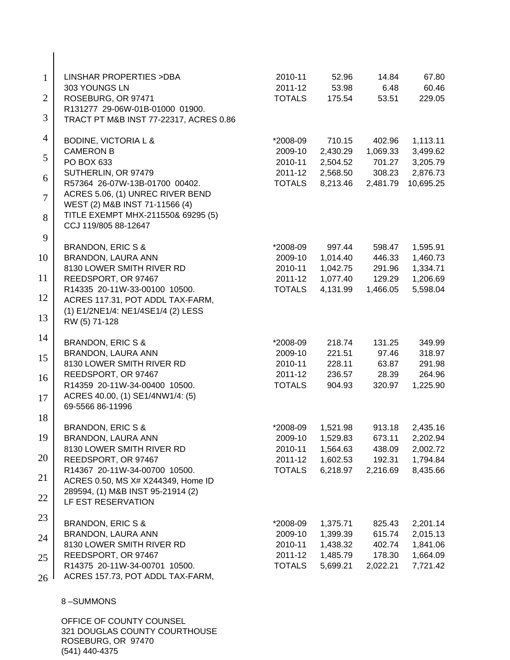| $\mathbf{1}$   | <b>LINSHAR PROPERTIES &gt; DBA</b><br>303 YOUNGS LN                       | 2010-11<br>2011-12       | 52.96<br>53.98       | 14.84<br>6.48    | 67.80<br>60.46       |
|----------------|---------------------------------------------------------------------------|--------------------------|----------------------|------------------|----------------------|
| $\overline{2}$ | ROSEBURG, OR 97471                                                        | <b>TOTALS</b>            | 175.54               | 53.51            | 229.05               |
| 3              | R131277 29-06W-01B-01000 01900.<br>TRACT PT M&B INST 77-22317, ACRES 0.86 |                          |                      |                  |                      |
| 4              | <b>BODINE, VICTORIA L &amp;</b>                                           | *2008-09                 | 710.15               | 402.96           | 1,113.11             |
| 5              | <b>CAMERON B</b>                                                          | 2009-10                  | 2,430.29             | 1,069.33         | 3,499.62             |
|                | PO BOX 633<br>SUTHERLIN, OR 97479                                         | 2010-11<br>2011-12       | 2,504.52<br>2,568.50 | 701.27<br>308.23 | 3,205.79<br>2,876.73 |
| 6              | R57364 26-07W-13B-01700 00402.                                            | <b>TOTALS</b>            | 8,213.46             | 2,481.79         | 10,695.25            |
| $\overline{7}$ | ACRES 5.06, (1) UNREC RIVER BEND                                          |                          |                      |                  |                      |
|                | WEST (2) M&B INST 71-11566 (4)<br>TITLE EXEMPT MHX-211550& 69295 (5)      |                          |                      |                  |                      |
| 8              | CCJ 119/805 88-12647                                                      |                          |                      |                  |                      |
| 9              | BRANDON, ERIC S &                                                         | *2008-09                 | 997.44               | 598.47           | 1,595.91             |
| 10             | BRANDON, LAURA ANN                                                        | 2009-10                  | 1,014.40             | 446.33           | 1,460.73             |
|                | 8130 LOWER SMITH RIVER RD                                                 | 2010-11                  | 1,042.75             | 291.96           | 1,334.71             |
| 11             | REEDSPORT, OR 97467                                                       | 2011-12                  | 1,077.40             | 129.29           | 1,206.69             |
| 12             | R14335 20-11W-33-00100 10500.<br>ACRES 117.31, POT ADDL TAX-FARM,         | <b>TOTALS</b>            | 4,131.99             | 1,466.05         | 5,598.04             |
| 13             | (1) E1/2NE1/4: NE1/4SE1/4 (2) LESS<br>RW (5) 71-128                       |                          |                      |                  |                      |
| 14             | <b>BRANDON, ERIC S &amp;</b>                                              | *2008-09                 | 218.74               | 131.25           | 349.99               |
| 15             | BRANDON, LAURA ANN                                                        | 2009-10                  | 221.51               | 97.46            | 318.97               |
|                | 8130 LOWER SMITH RIVER RD                                                 | 2010-11                  | 228.11               | 63.87            | 291.98               |
| 16             | REEDSPORT, OR 97467<br>R14359 20-11W-34-00400 10500.                      | 2011-12<br><b>TOTALS</b> | 236.57<br>904.93     | 28.39<br>320.97  | 264.96<br>1,225.90   |
| 17             | ACRES 40.00, (1) SE1/4NW1/4: (5)<br>69-5566 86-11996                      |                          |                      |                  |                      |
| 18             |                                                                           |                          |                      |                  |                      |
| 19             | <b>BRANDON, ERIC S &amp;</b><br>BRANDON, LAURA ANN                        | *2008-09<br>2009-10      | 1,521.98<br>1,529.83 | 913.18<br>673.11 | 2,435.16             |
|                | 8130 LOWER SMITH RIVER RD                                                 | 2010-11                  | 1,564.63             | 438.09           | 2,202.94<br>2,002.72 |
| 20             | REEDSPORT, OR 97467                                                       | 2011-12                  | 1,602.53             | 192.31           | 1,794.84             |
| 21             | R14367 20-11W-34-00700 10500.                                             | <b>TOTALS</b>            | 6,218.97             | 2,216.69         | 8,435.66             |
|                | ACRES 0.50, MS X# X244349, Home ID<br>289594, (1) M&B INST 95-21914 (2)   |                          |                      |                  |                      |
| 22             | LF EST RESERVATION                                                        |                          |                      |                  |                      |
| 23             | <b>BRANDON, ERIC S &amp;</b>                                              | *2008-09                 | 1,375.71             | 825.43           | 2,201.14             |
| 24             | BRANDON, LAURA ANN                                                        | 2009-10                  | 1,399.39             | 615.74           | 2,015.13             |
|                | 8130 LOWER SMITH RIVER RD                                                 | 2010-11                  | 1,438.32             | 402.74           | 1,841.06             |
| 25             | REEDSPORT, OR 97467                                                       | 2011-12                  | 1,485.79             | 178.30           | 1,664.09             |
| 26             | R14375 20-11W-34-00701 10500.<br>ACRES 157.73, POT ADDL TAX-FARM,         | <b>TOTALS</b>            | 5,699.21             | 2,022.21         | 7,721.42             |
|                | 8-SUMMONS                                                                 |                          |                      |                  |                      |
|                |                                                                           |                          |                      |                  |                      |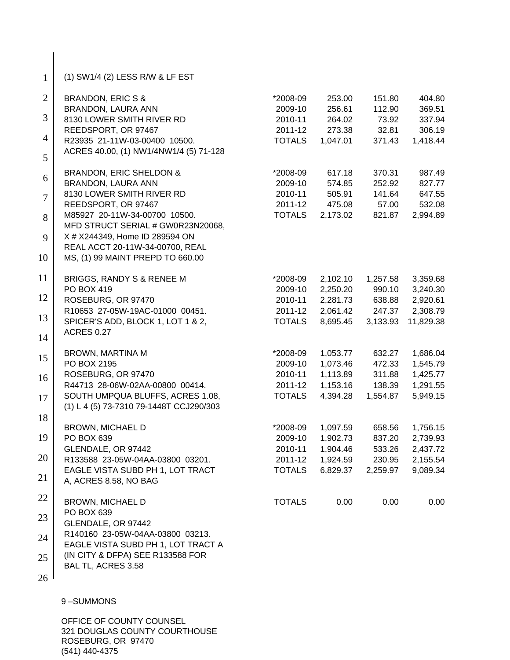| $\mathbf{1}$   | (1) SW1/4 (2) LESS R/W & LF EST                                     |                          |                    |                 |                    |
|----------------|---------------------------------------------------------------------|--------------------------|--------------------|-----------------|--------------------|
| $\overline{2}$ | <b>BRANDON, ERIC S &amp;</b>                                        | *2008-09                 | 253.00             | 151.80          | 404.80             |
| 3              | BRANDON, LAURA ANN                                                  | 2009-10                  | 256.61             | 112.90          | 369.51             |
|                | 8130 LOWER SMITH RIVER RD                                           | 2010-11                  | 264.02             | 73.92           | 337.94             |
| $\overline{4}$ | REEDSPORT, OR 97467<br>R23935 21-11W-03-00400 10500.                | 2011-12<br><b>TOTALS</b> | 273.38<br>1,047.01 | 32.81<br>371.43 | 306.19<br>1,418.44 |
| 5              | ACRES 40.00, (1) NW1/4NW1/4 (5) 71-128                              |                          |                    |                 |                    |
| 6              | <b>BRANDON, ERIC SHELDON &amp;</b>                                  | *2008-09                 | 617.18             | 370.31          | 987.49             |
|                | BRANDON, LAURA ANN                                                  | 2009-10                  | 574.85             | 252.92          | 827.77             |
| $\overline{7}$ | 8130 LOWER SMITH RIVER RD                                           | 2010-11                  | 505.91             | 141.64          | 647.55             |
|                | REEDSPORT, OR 97467                                                 | 2011-12                  | 475.08             | 57.00           | 532.08             |
| 8              | M85927 20-11W-34-00700 10500.<br>MFD STRUCT SERIAL # GW0R23N20068,  | <b>TOTALS</b>            | 2,173.02           | 821.87          | 2,994.89           |
| 9              | X # X244349, Home ID 289594 ON                                      |                          |                    |                 |                    |
| 10             | REAL ACCT 20-11W-34-00700, REAL<br>MS, (1) 99 MAINT PREPD TO 660.00 |                          |                    |                 |                    |
| 11             | BRIGGS, RANDY S & RENEE M                                           | *2008-09                 | 2,102.10           | 1,257.58        | 3,359.68           |
|                | PO BOX 419                                                          | 2009-10                  | 2,250.20           | 990.10          | 3,240.30           |
| 12             | ROSEBURG, OR 97470                                                  | 2010-11                  | 2,281.73           | 638.88          | 2,920.61           |
|                | R10653 27-05W-19AC-01000 00451.                                     | 2011-12                  | 2,061.42           | 247.37          | 2,308.79           |
| 13             | SPICER'S ADD, BLOCK 1, LOT 1 & 2,                                   | <b>TOTALS</b>            | 8,695.45           | 3,133.93        | 11,829.38          |
| 14             | <b>ACRES 0.27</b>                                                   |                          |                    |                 |                    |
| 15             | BROWN, MARTINA M                                                    | *2008-09                 | 1,053.77           | 632.27          | 1,686.04           |
|                | PO BOX 2195                                                         | 2009-10                  | 1,073.46           | 472.33          | 1,545.79           |
| 16             | ROSEBURG, OR 97470                                                  | 2010-11                  | 1,113.89           | 311.88          | 1,425.77           |
|                | R44713 28-06W-02AA-00800 00414.                                     | 2011-12                  | 1,153.16           | 138.39          | 1,291.55           |
| 17             | SOUTH UMPQUA BLUFFS, ACRES 1.08,                                    | <b>TOTALS</b>            | 4,394.28           | 1,554.87        | 5,949.15           |
|                | (1) L 4 (5) 73-7310 79-1448T CCJ290/303                             |                          |                    |                 |                    |
| 18             | <b>BROWN, MICHAEL D</b>                                             | *2008-09                 | 1,097.59           | 658.56          | 1,756.15           |
| 19             | PO BOX 639                                                          | 2009-10                  | 1,902.73           | 837.20          | 2,739.93           |
|                | GLENDALE, OR 97442                                                  | 2010-11                  | 1,904.46           | 533.26          | 2,437.72           |
| 20             | R133588 23-05W-04AA-03800 03201.                                    | 2011-12                  | 1,924.59           | 230.95          | 2,155.54           |
|                | EAGLE VISTA SUBD PH 1, LOT TRACT                                    | <b>TOTALS</b>            | 6,829.37           | 2,259.97        | 9,089.34           |
| 21             | A, ACRES 8.58, NO BAG                                               |                          |                    |                 |                    |
| 22             | <b>BROWN, MICHAEL D</b>                                             | <b>TOTALS</b>            | 0.00               | 0.00            | 0.00               |
|                | PO BOX 639                                                          |                          |                    |                 |                    |
| 23             | GLENDALE, OR 97442                                                  |                          |                    |                 |                    |
| 24             | R140160 23-05W-04AA-03800 03213.                                    |                          |                    |                 |                    |
|                | EAGLE VISTA SUBD PH 1, LOT TRACT A                                  |                          |                    |                 |                    |
| 25             | (IN CITY & DFPA) SEE R133588 FOR                                    |                          |                    |                 |                    |
|                | BAL TL, ACRES 3.58                                                  |                          |                    |                 |                    |
| 26             |                                                                     |                          |                    |                 |                    |

 $\overline{\phantom{a}}$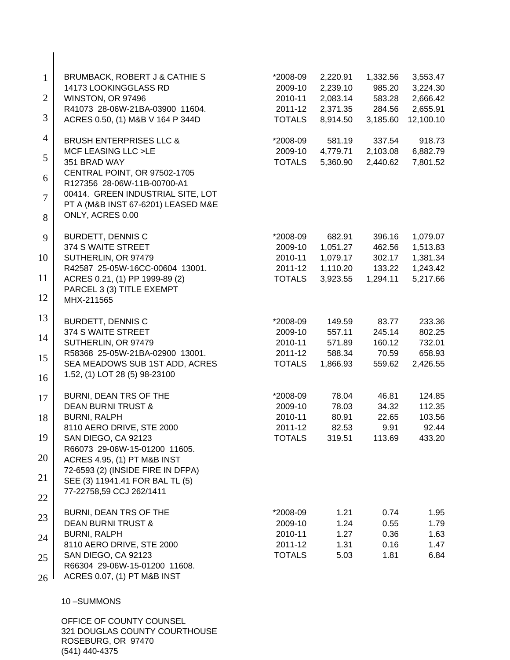| $\mathbf{1}$   | <b>BRUMBACK, ROBERT J &amp; CATHIE S</b>                          | *2008-09                 | 2,220.91             | 1,332.56             | 3,553.47             |
|----------------|-------------------------------------------------------------------|--------------------------|----------------------|----------------------|----------------------|
|                | 14173 LOOKINGGLASS RD                                             | 2009-10                  | 2,239.10             | 985.20               | 3,224.30             |
| $\overline{2}$ | WINSTON, OR 97496                                                 | 2010-11                  | 2,083.14             | 583.28               | 2,666.42             |
| 3              | R41073 28-06W-21BA-03900 11604.                                   | 2011-12<br><b>TOTALS</b> | 2,371.35             | 284.56               | 2,655.91             |
|                | ACRES 0.50, (1) M&B V 164 P 344D                                  |                          | 8,914.50             | 3,185.60             | 12,100.10            |
| $\overline{4}$ | <b>BRUSH ENTERPRISES LLC &amp;</b>                                | *2008-09                 | 581.19               | 337.54               | 918.73               |
| 5              | MCF LEASING LLC >LE<br>351 BRAD WAY                               | 2009-10<br><b>TOTALS</b> | 4,779.71<br>5,360.90 | 2,103.08<br>2,440.62 | 6,882.79             |
|                | CENTRAL POINT, OR 97502-1705                                      |                          |                      |                      | 7,801.52             |
| 6              | R127356 28-06W-11B-00700-A1                                       |                          |                      |                      |                      |
| $\overline{7}$ | 00414. GREEN INDUSTRIAL SITE, LOT                                 |                          |                      |                      |                      |
| 8              | PT A (M&B INST 67-6201) LEASED M&E<br>ONLY, ACRES 0.00            |                          |                      |                      |                      |
|                |                                                                   |                          |                      |                      |                      |
| 9              | <b>BURDETT, DENNIS C</b>                                          | *2008-09                 | 682.91               | 396.16               | 1,079.07             |
| 10             | 374 S WAITE STREET<br>SUTHERLIN, OR 97479                         | 2009-10<br>2010-11       | 1,051.27<br>1,079.17 | 462.56<br>302.17     | 1,513.83<br>1,381.34 |
|                | R42587 25-05W-16CC-00604 13001.                                   | 2011-12                  | 1,110.20             | 133.22               | 1,243.42             |
| 11             | ACRES 0.21, (1) PP 1999-89 (2)                                    | <b>TOTALS</b>            | 3,923.55             | 1,294.11             | 5,217.66             |
| 12             | PARCEL 3 (3) TITLE EXEMPT                                         |                          |                      |                      |                      |
|                | MHX-211565                                                        |                          |                      |                      |                      |
| 13             | <b>BURDETT, DENNIS C</b>                                          | *2008-09                 | 149.59               | 83.77                | 233.36               |
| 14             | 374 S WAITE STREET                                                | 2009-10                  | 557.11               | 245.14               | 802.25               |
|                | SUTHERLIN, OR 97479                                               | 2010-11                  | 571.89               | 160.12               | 732.01               |
| 15             | R58368 25-05W-21BA-02900 13001.<br>SEA MEADOWS SUB 1ST ADD, ACRES | 2011-12<br><b>TOTALS</b> | 588.34<br>1,866.93   | 70.59<br>559.62      | 658.93<br>2,426.55   |
| 16             | 1.52, (1) LOT 28 (5) 98-23100                                     |                          |                      |                      |                      |
|                |                                                                   |                          |                      |                      |                      |
| 17             | BURNI, DEAN TRS OF THE<br><b>DEAN BURNI TRUST &amp;</b>           | *2008-09<br>2009-10      | 78.04<br>78.03       | 46.81<br>34.32       | 124.85<br>112.35     |
| 18             | <b>BURNI, RALPH</b>                                               | 2010-11                  | 80.91                | 22.65                | 103.56               |
|                | 8110 AERO DRIVE, STE 2000                                         | 2011-12                  | 82.53                | 9.91                 | 92.44                |
| 19             | SAN DIEGO, CA 92123                                               | <b>TOTALS</b>            | 319.51               | 113.69               | 433.20               |
| 20             | R66073 29-06W-15-01200 11605.<br>ACRES 4.95, (1) PT M&B INST      |                          |                      |                      |                      |
|                | 72-6593 (2) (INSIDE FIRE IN DFPA)                                 |                          |                      |                      |                      |
| 21             | SEE (3) 11941.41 FOR BAL TL (5)                                   |                          |                      |                      |                      |
| 22             | 77-22758,59 CCJ 262/1411                                          |                          |                      |                      |                      |
|                | BURNI, DEAN TRS OF THE                                            | *2008-09                 | 1.21                 | 0.74                 | 1.95                 |
| 23             | <b>DEAN BURNI TRUST &amp;</b>                                     | 2009-10                  | 1.24                 | 0.55                 | 1.79                 |
| 24             | <b>BURNI, RALPH</b>                                               | 2010-11                  | 1.27                 | 0.36                 | 1.63                 |
|                | 8110 AERO DRIVE, STE 2000                                         | 2011-12<br><b>TOTALS</b> | 1.31<br>5.03         | 0.16<br>1.81         | 1.47<br>6.84         |
| 25             | SAN DIEGO, CA 92123<br>R66304 29-06W-15-01200 11608.              |                          |                      |                      |                      |
| 26             | ACRES 0.07, (1) PT M&B INST                                       |                          |                      |                      |                      |
|                |                                                                   |                          |                      |                      |                      |
|                | 10-SUMMONS                                                        |                          |                      |                      |                      |
|                | OFFICE OF COUNTY COUNSEL                                          |                          |                      |                      |                      |
|                | 321 DOUGLAS COUNTY COURTHOUSE<br>ROSEBURG, OR 97470               |                          |                      |                      |                      |
|                |                                                                   |                          |                      |                      |                      |

(541) 440-4375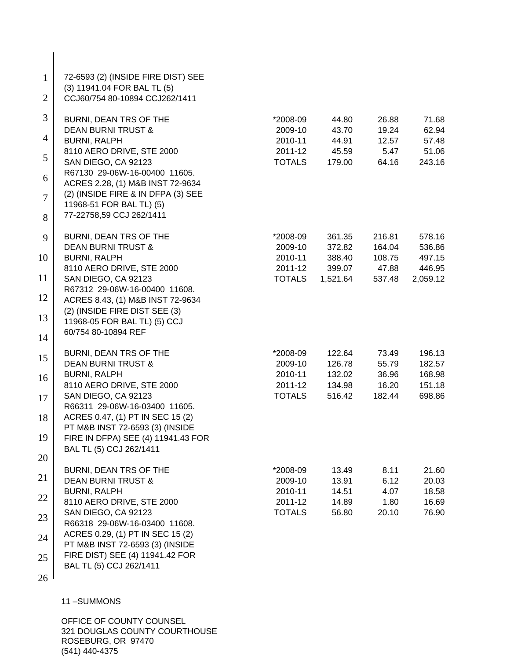| $\mathbf{1}$<br>$\overline{2}$ | 72-6593 (2) (INSIDE FIRE DIST) SEE<br>(3) 11941.04 FOR BAL TL (5)<br>CCJ60/754 80-10894 CCJ262/1411 |                          |                 |               |                 |
|--------------------------------|-----------------------------------------------------------------------------------------------------|--------------------------|-----------------|---------------|-----------------|
| 3                              | BURNI, DEAN TRS OF THE                                                                              | *2008-09                 | 44.80           | 26.88         | 71.68           |
|                                | <b>DEAN BURNI TRUST &amp;</b>                                                                       | 2009-10                  | 43.70           | 19.24         | 62.94           |
| 4                              | <b>BURNI, RALPH</b>                                                                                 | 2010-11                  | 44.91           | 12.57         | 57.48           |
| 5                              | 8110 AERO DRIVE, STE 2000<br>SAN DIEGO, CA 92123                                                    | 2011-12<br><b>TOTALS</b> | 45.59<br>179.00 | 5.47<br>64.16 | 51.06<br>243.16 |
| 6                              | R67130 29-06W-16-00400 11605.<br>ACRES 2.28, (1) M&B INST 72-9634                                   |                          |                 |               |                 |
| $\overline{7}$                 | (2) (INSIDE FIRE & IN DFPA (3) SEE<br>11968-51 FOR BAL TL) (5)                                      |                          |                 |               |                 |
| 8                              | 77-22758,59 CCJ 262/1411                                                                            |                          |                 |               |                 |
| 9                              | BURNI, DEAN TRS OF THE                                                                              | *2008-09                 | 361.35          | 216.81        | 578.16          |
|                                | <b>DEAN BURNI TRUST &amp;</b>                                                                       | 2009-10                  | 372.82          | 164.04        | 536.86          |
| 10                             | <b>BURNI, RALPH</b>                                                                                 | 2010-11                  | 388.40          | 108.75        | 497.15          |
|                                | 8110 AERO DRIVE, STE 2000                                                                           | 2011-12                  | 399.07          | 47.88         | 446.95          |
| 11                             | SAN DIEGO, CA 92123                                                                                 | <b>TOTALS</b>            | 1,521.64        | 537.48        | 2,059.12        |
| 12                             | R67312 29-06W-16-00400 11608.<br>ACRES 8.43, (1) M&B INST 72-9634                                   |                          |                 |               |                 |
| 13                             | (2) (INSIDE FIRE DIST SEE (3)                                                                       |                          |                 |               |                 |
| 14                             | 11968-05 FOR BAL TL) (5) CCJ<br>60/754 80-10894 REF                                                 |                          |                 |               |                 |
| 15                             | BURNI, DEAN TRS OF THE                                                                              | *2008-09                 | 122.64          | 73.49         | 196.13          |
|                                | <b>DEAN BURNI TRUST &amp;</b>                                                                       | 2009-10                  | 126.78          | 55.79         | 182.57          |
| 16                             | <b>BURNI, RALPH</b>                                                                                 | 2010-11                  | 132.02          | 36.96         | 168.98          |
|                                | 8110 AERO DRIVE, STE 2000                                                                           | 2011-12                  | 134.98          | 16.20         | 151.18          |
| 17                             | SAN DIEGO, CA 92123                                                                                 | <b>TOTALS</b>            | 516.42          | 182.44        | 698.86          |
|                                | R66311 29-06W-16-03400 11605.                                                                       |                          |                 |               |                 |
| 18                             | ACRES 0.47, (1) PT IN SEC 15 (2)                                                                    |                          |                 |               |                 |
| 19                             | PT M&B INST 72-6593 (3) (INSIDE<br>FIRE IN DFPA) SEE (4) 11941.43 FOR                               |                          |                 |               |                 |
|                                | BAL TL (5) CCJ 262/1411                                                                             |                          |                 |               |                 |
| 20                             |                                                                                                     |                          |                 |               |                 |
|                                | BURNI, DEAN TRS OF THE                                                                              | *2008-09                 | 13.49           | 8.11          | 21.60           |
| 21                             | <b>DEAN BURNI TRUST &amp;</b>                                                                       | 2009-10                  | 13.91           | 6.12          | 20.03           |
|                                | <b>BURNI, RALPH</b>                                                                                 | 2010-11                  | 14.51           | 4.07          | 18.58           |
| 22                             | 8110 AERO DRIVE, STE 2000                                                                           | 2011-12                  | 14.89           | 1.80          | 16.69           |
| 23                             | SAN DIEGO, CA 92123                                                                                 | <b>TOTALS</b>            | 56.80           | 20.10         | 76.90           |
|                                | R66318 29-06W-16-03400 11608.                                                                       |                          |                 |               |                 |
| 24                             | ACRES 0.29, (1) PT IN SEC 15 (2)                                                                    |                          |                 |               |                 |
|                                | PT M&B INST 72-6593 (3) (INSIDE                                                                     |                          |                 |               |                 |
| 25                             | FIRE DIST) SEE (4) 11941.42 FOR                                                                     |                          |                 |               |                 |
|                                | BAL TL (5) CCJ 262/1411                                                                             |                          |                 |               |                 |
| 26                             |                                                                                                     |                          |                 |               |                 |

 $\overline{\phantom{a}}$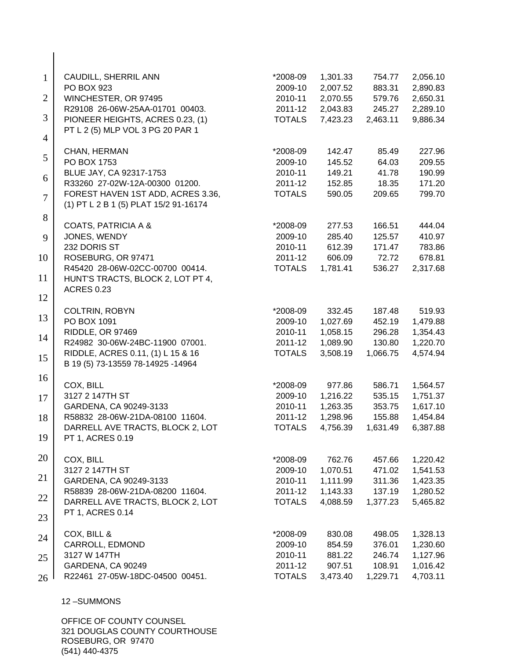| $\mathbf{1}$   | CAUDILL, SHERRIL ANN                  | *2008-09            | 1,301.33         | 754.77   | 2,056.10         |
|----------------|---------------------------------------|---------------------|------------------|----------|------------------|
|                | PO BOX 923                            | 2009-10             | 2,007.52         | 883.31   | 2,890.83         |
| $\overline{2}$ | WINCHESTER, OR 97495                  | 2010-11             | 2,070.55         | 579.76   | 2,650.31         |
| 3              | R29108 26-06W-25AA-01701 00403.       | 2011-12             | 2,043.83         | 245.27   | 2,289.10         |
|                | PIONEER HEIGHTS, ACRES 0.23, (1)      | <b>TOTALS</b>       | 7,423.23         | 2,463.11 | 9,886.34         |
| $\overline{4}$ | PT L 2 (5) MLP VOL 3 PG 20 PAR 1      |                     |                  |          |                  |
|                |                                       |                     |                  | 85.49    |                  |
| 5              | CHAN, HERMAN<br>PO BOX 1753           | *2008-09<br>2009-10 | 142.47<br>145.52 | 64.03    | 227.96<br>209.55 |
|                | BLUE JAY, CA 92317-1753               | 2010-11             | 149.21           | 41.78    | 190.99           |
| 6              | R33260 27-02W-12A-00300 01200.        | 2011-12             | 152.85           | 18.35    | 171.20           |
|                | FOREST HAVEN 1ST ADD, ACRES 3.36,     | <b>TOTALS</b>       | 590.05           | 209.65   | 799.70           |
| $\overline{7}$ | (1) PT L 2 B 1 (5) PLAT 15/2 91-16174 |                     |                  |          |                  |
|                |                                       |                     |                  |          |                  |
| 8              | <b>COATS, PATRICIA A &amp;</b>        | *2008-09            | 277.53           | 166.51   | 444.04           |
| 9              | JONES, WENDY                          | 2009-10             | 285.40           | 125.57   | 410.97           |
|                | 232 DORIS ST                          | 2010-11             | 612.39           | 171.47   | 783.86           |
| 10             | ROSEBURG, OR 97471                    | 2011-12             | 606.09           | 72.72    | 678.81           |
|                | R45420 28-06W-02CC-00700 00414.       | <b>TOTALS</b>       | 1,781.41         | 536.27   | 2,317.68         |
| 11             | HUNT'S TRACTS, BLOCK 2, LOT PT 4,     |                     |                  |          |                  |
|                | <b>ACRES 0.23</b>                     |                     |                  |          |                  |
| 12             |                                       |                     |                  |          |                  |
|                | COLTRIN, ROBYN                        | *2008-09            | 332.45           | 187.48   | 519.93           |
| 13             | PO BOX 1091                           | 2009-10             | 1,027.69         | 452.19   | 1,479.88         |
|                | RIDDLE, OR 97469                      | 2010-11             | 1,058.15         | 296.28   | 1,354.43         |
| 14             | R24982 30-06W-24BC-11900 07001.       | 2011-12             | 1,089.90         | 130.80   | 1,220.70         |
|                | RIDDLE, ACRES 0.11, (1) L 15 & 16     | <b>TOTALS</b>       | 3,508.19         | 1,066.75 | 4,574.94         |
| 15             | B 19 (5) 73-13559 78-14925 -14964     |                     |                  |          |                  |
| 16             |                                       |                     |                  |          |                  |
|                | COX, BILL                             | *2008-09            | 977.86           | 586.71   | 1,564.57         |
| 17             | 3127 2 147TH ST                       | 2009-10             | 1,216.22         | 535.15   | 1,751.37         |
|                | GARDENA, CA 90249-3133                | 2010-11             | 1,263.35         | 353.75   | 1,617.10         |
| 18             | R58832 28-06W-21DA-08100 11604.       | 2011-12             | 1,298.96         | 155.88   | 1,454.84         |
|                | DARRELL AVE TRACTS, BLOCK 2, LOT      | <b>TOTALS</b>       | 4,756.39         | 1,631.49 | 6,387.88         |
| 19             | PT 1, ACRES 0.19                      |                     |                  |          |                  |
|                |                                       |                     |                  |          |                  |
| 20             | COX, BILL                             | *2008-09            | 762.76           | 457.66   | 1,220.42         |
|                | 3127 2 147TH ST                       | 2009-10             | 1,070.51         | 471.02   | 1,541.53         |
| 21             | GARDENA, CA 90249-3133                | 2010-11             | 1,111.99         | 311.36   | 1,423.35         |
| 22             | R58839 28-06W-21DA-08200 11604.       | 2011-12             | 1,143.33         | 137.19   | 1,280.52         |
|                | DARRELL AVE TRACTS, BLOCK 2, LOT      | <b>TOTALS</b>       | 4,088.59         | 1,377.23 | 5,465.82         |
| 23             | <b>PT 1, ACRES 0.14</b>               |                     |                  |          |                  |
|                |                                       |                     |                  |          |                  |
| 24             | COX, BILL &                           | *2008-09            | 830.08           | 498.05   | 1,328.13         |
|                | CARROLL, EDMOND                       | 2009-10             | 854.59           | 376.01   | 1,230.60         |
| 25             | 3127 W 147TH                          | 2010-11             | 881.22           | 246.74   | 1,127.96         |
|                | GARDENA, CA 90249                     | 2011-12             | 907.51           | 108.91   | 1,016.42         |
| 26             | R22461 27-05W-18DC-04500 00451.       | <b>TOTALS</b>       | 3,473.40         | 1,229.71 | 4,703.11         |
|                |                                       |                     |                  |          |                  |

 $\begin{array}{c} \hline \end{array}$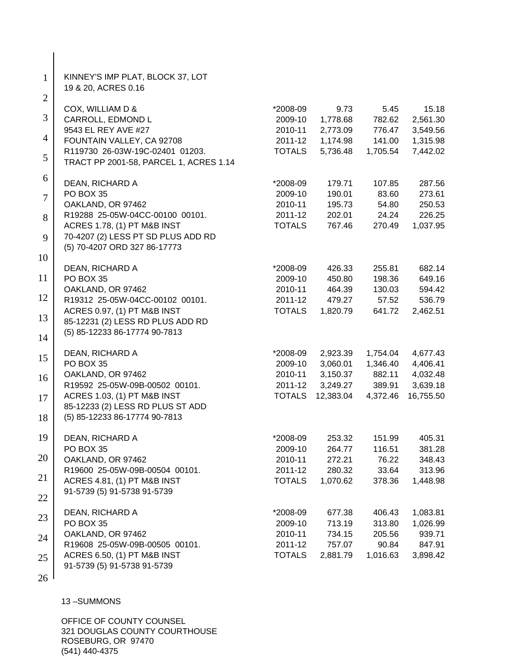| $\mathbf{1}$   | KINNEY'S IMP PLAT, BLOCK 37, LOT<br>19 & 20, ACRES 0.16            |                     |                  |                |                   |
|----------------|--------------------------------------------------------------------|---------------------|------------------|----------------|-------------------|
| $\overline{2}$ |                                                                    |                     |                  |                |                   |
| 3              | COX, WILLIAM D &<br>CARROLL, EDMOND L                              | *2008-09<br>2009-10 | 9.73<br>1,778.68 | 5.45<br>782.62 | 15.18<br>2,561.30 |
|                | 9543 EL REY AVE #27                                                | 2010-11             | 2,773.09         | 776.47         | 3,549.56          |
| 4              | FOUNTAIN VALLEY, CA 92708                                          | 2011-12             | 1,174.98         | 141.00         | 1,315.98          |
|                | R119730 26-03W-19C-02401 01203.                                    | <b>TOTALS</b>       | 5,736.48         | 1,705.54       | 7,442.02          |
| 5              | TRACT PP 2001-58, PARCEL 1, ACRES 1.14                             |                     |                  |                |                   |
| 6              | DEAN, RICHARD A                                                    | *2008-09            | 179.71           | 107.85         | 287.56            |
|                | PO BOX 35                                                          | 2009-10             | 190.01           | 83.60          | 273.61            |
| $\overline{7}$ | OAKLAND, OR 97462                                                  | 2010-11             | 195.73           | 54.80          | 250.53            |
| 8              | R19288 25-05W-04CC-00100 00101.                                    | 2011-12             | 202.01           | 24.24          | 226.25            |
|                | ACRES 1.78, (1) PT M&B INST                                        | <b>TOTALS</b>       | 767.46           | 270.49         | 1,037.95          |
| 9              | 70-4207 (2) LESS PT SD PLUS ADD RD<br>(5) 70-4207 ORD 327 86-17773 |                     |                  |                |                   |
| 10             |                                                                    |                     |                  |                |                   |
|                | DEAN, RICHARD A                                                    | *2008-09            | 426.33           | 255.81         | 682.14            |
| 11             | PO BOX 35                                                          | 2009-10             | 450.80           | 198.36         | 649.16            |
| 12             | OAKLAND, OR 97462                                                  | 2010-11             | 464.39           | 130.03         | 594.42            |
|                | R19312 25-05W-04CC-00102 00101.                                    | 2011-12             | 479.27           | 57.52          | 536.79            |
| 13             | ACRES 0.97, (1) PT M&B INST                                        | <b>TOTALS</b>       | 1,820.79         | 641.72         | 2,462.51          |
|                | 85-12231 (2) LESS RD PLUS ADD RD<br>(5) 85-12233 86-17774 90-7813  |                     |                  |                |                   |
| 14             |                                                                    |                     |                  |                |                   |
| 15             | DEAN, RICHARD A                                                    | *2008-09            | 2,923.39         | 1,754.04       | 4,677.43          |
|                | PO BOX 35                                                          | 2009-10             | 3,060.01         | 1,346.40       | 4,406.41          |
| 16             | OAKLAND, OR 97462                                                  | 2010-11             | 3,150.37         | 882.11         | 4,032.48          |
|                | R19592 25-05W-09B-00502 00101.                                     | 2011-12             | 3,249.27         | 389.91         | 3,639.18          |
| 17             | ACRES 1.03, (1) PT M&B INST                                        | <b>TOTALS</b>       | 12,383.04        | 4,372.46       | 16,755.50         |
|                | 85-12233 (2) LESS RD PLUS ST ADD<br>(5) 85-12233 86-17774 90-7813  |                     |                  |                |                   |
| 18             |                                                                    |                     |                  |                |                   |
| 19             | DEAN, RICHARD A                                                    | *2008-09            | 253.32           | 151.99         | 405.31            |
|                | PO BOX 35                                                          | 2009-10             | 264.77           | 116.51         | 381.28            |
| 20             | OAKLAND, OR 97462                                                  | 2010-11             | 272.21           | 76.22          | 348.43            |
| 21             | R19600 25-05W-09B-00504 00101.                                     | 2011-12             | 280.32           | 33.64          | 313.96            |
|                | ACRES 4.81, (1) PT M&B INST                                        | <b>TOTALS</b>       | 1,070.62         | 378.36         | 1,448.98          |
| 22             | 91-5739 (5) 91-5738 91-5739                                        |                     |                  |                |                   |
| 23             | DEAN, RICHARD A                                                    | *2008-09            | 677.38           | 406.43         | 1,083.81          |
|                | PO BOX 35                                                          | 2009-10             | 713.19           | 313.80         | 1,026.99          |
| 24             | OAKLAND, OR 97462                                                  | 2010-11             | 734.15           | 205.56         | 939.71            |
|                | R19608 25-05W-09B-00505 00101.                                     | 2011-12             | 757.07           | 90.84          | 847.91            |
| 25             | ACRES 6.50, (1) PT M&B INST                                        | <b>TOTALS</b>       | 2,881.79         | 1,016.63       | 3,898.42          |
|                | 91-5739 (5) 91-5738 91-5739                                        |                     |                  |                |                   |
| 26             |                                                                    |                     |                  |                |                   |
|                |                                                                    |                     |                  |                |                   |

 $\overline{\phantom{a}}$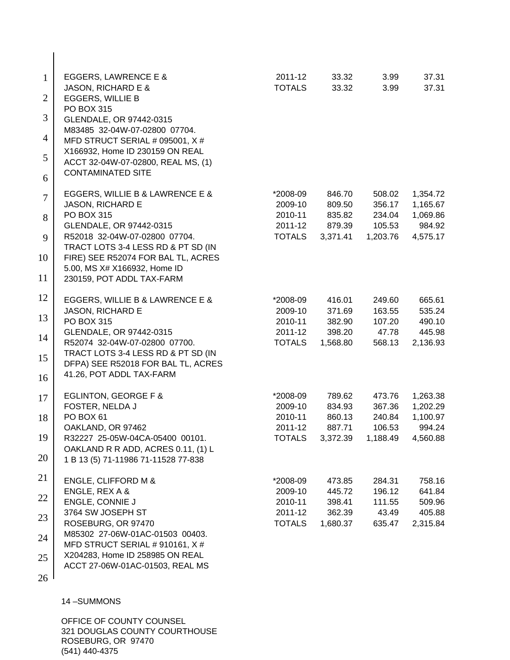| $\mathbf{1}$<br>$\overline{2}$ | <b>EGGERS, LAWRENCE E &amp;</b><br>JASON, RICHARD E &<br><b>EGGERS, WILLIE B</b> | 2011-12<br><b>TOTALS</b> | 33.32<br>33.32     | 3.99<br>3.99       | 37.31<br>37.31       |
|--------------------------------|----------------------------------------------------------------------------------|--------------------------|--------------------|--------------------|----------------------|
| 3                              | PO BOX 315<br>GLENDALE, OR 97442-0315                                            |                          |                    |                    |                      |
| 4                              | M83485 32-04W-07-02800 07704.<br>MFD STRUCT SERIAL # 095001, X #                 |                          |                    |                    |                      |
| 5                              | X166932, Home ID 230159 ON REAL<br>ACCT 32-04W-07-02800, REAL MS, (1)            |                          |                    |                    |                      |
| 6                              | <b>CONTAMINATED SITE</b>                                                         |                          |                    |                    |                      |
| $\overline{7}$                 | EGGERS, WILLIE B & LAWRENCE E &<br>JASON, RICHARD E                              | *2008-09<br>2009-10      | 846.70<br>809.50   | 508.02<br>356.17   | 1,354.72<br>1,165.67 |
| 8                              | <b>PO BOX 315</b>                                                                | 2010-11                  | 835.82             | 234.04             | 1,069.86             |
| 9                              | GLENDALE, OR 97442-0315<br>R52018 32-04W-07-02800 07704.                         | 2011-12<br><b>TOTALS</b> | 879.39<br>3,371.41 | 105.53<br>1,203.76 | 984.92<br>4,575.17   |
| 10                             | TRACT LOTS 3-4 LESS RD & PT SD (IN<br>FIRE) SEE R52074 FOR BAL TL, ACRES         |                          |                    |                    |                      |
| 11                             | 5.00, MS X# X166932, Home ID<br>230159, POT ADDL TAX-FARM                        |                          |                    |                    |                      |
| 12                             | EGGERS, WILLIE B & LAWRENCE E &                                                  | *2008-09                 | 416.01             | 249.60             | 665.61               |
| 13                             | JASON, RICHARD E<br><b>PO BOX 315</b>                                            | 2009-10<br>2010-11       | 371.69<br>382.90   | 163.55<br>107.20   | 535.24<br>490.10     |
|                                | GLENDALE, OR 97442-0315                                                          | 2011-12                  | 398.20             | 47.78              | 445.98               |
| 14                             | R52074 32-04W-07-02800 07700.                                                    | <b>TOTALS</b>            | 1,568.80           | 568.13             | 2,136.93             |
| 15                             | TRACT LOTS 3-4 LESS RD & PT SD (IN<br>DFPA) SEE R52018 FOR BAL TL, ACRES         |                          |                    |                    |                      |
| 16                             | 41.26, POT ADDL TAX-FARM                                                         |                          |                    |                    |                      |
| 17                             | EGLINTON, GEORGE F &                                                             | *2008-09                 | 789.62             | 473.76             | 1,263.38             |
| 18                             | FOSTER, NELDA J<br>PO BOX 61                                                     | 2009-10<br>2010-11       | 834.93<br>860.13   | 367.36<br>240.84   | 1,202.29<br>1,100.97 |
|                                | OAKLAND, OR 97462                                                                | 2011-12                  | 887.71             | 106.53             | 994.24               |
| 19                             | R32227 25-05W-04CA-05400 00101.<br>OAKLAND R R ADD, ACRES 0.11, (1) L            | <b>TOTALS</b>            | 3,372.39           | 1,188.49           | 4,560.88             |
| 20                             | 1 B 13 (5) 71-11986 71-11528 77-838                                              |                          |                    |                    |                      |
| 21                             | ENGLE, CLIFFORD M &                                                              | *2008-09                 | 473.85             | 284.31             | 758.16               |
| 22                             | ENGLE, REX A &                                                                   | 2009-10                  | 445.72             | 196.12             | 641.84               |
|                                | ENGLE, CONNIE J<br>3764 SW JOSEPH ST                                             | 2010-11<br>2011-12       | 398.41<br>362.39   | 111.55<br>43.49    | 509.96<br>405.88     |
| 23                             | ROSEBURG, OR 97470                                                               | <b>TOTALS</b>            | 1,680.37           | 635.47             | 2,315.84             |
| 24                             | M85302 27-06W-01AC-01503 00403.<br>MFD STRUCT SERIAL # 910161, X #               |                          |                    |                    |                      |
| 25                             | X204283, Home ID 258985 ON REAL<br>ACCT 27-06W-01AC-01503, REAL MS               |                          |                    |                    |                      |
| 26                             |                                                                                  |                          |                    |                    |                      |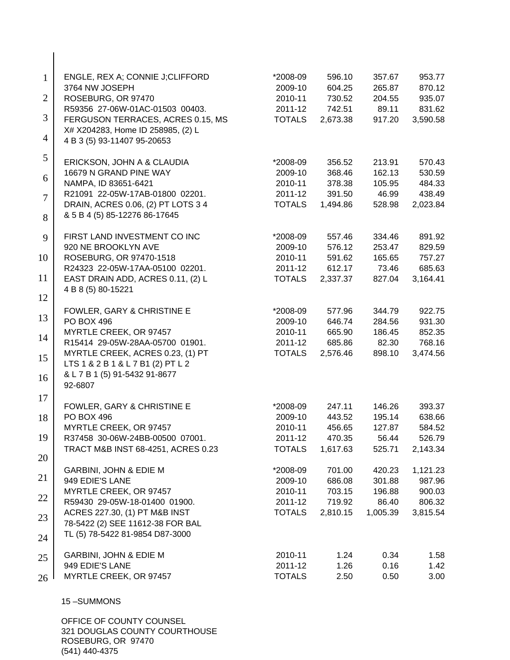| $\mathbf{1}$   | ENGLE, REX A; CONNIE J;CLIFFORD<br>3764 NW JOSEPH                   | *2008-09<br>2009-10      | 596.10<br>604.25 | 357.67<br>265.87 | 953.77<br>870.12   |
|----------------|---------------------------------------------------------------------|--------------------------|------------------|------------------|--------------------|
| $\overline{2}$ | ROSEBURG, OR 97470<br>R59356 27-06W-01AC-01503 00403.               | 2010-11<br>2011-12       | 730.52<br>742.51 | 204.55<br>89.11  | 935.07<br>831.62   |
| 3              | FERGUSON TERRACES, ACRES 0.15, MS                                   | <b>TOTALS</b>            | 2,673.38         | 917.20           | 3,590.58           |
| $\overline{4}$ | X# X204283, Home ID 258985, (2) L<br>4 B 3 (5) 93-11407 95-20653    |                          |                  |                  |                    |
| 5              | ERICKSON, JOHN A & CLAUDIA                                          | *2008-09                 | 356.52           | 213.91           | 570.43             |
| 6              | 16679 N GRAND PINE WAY                                              | 2009-10                  | 368.46           | 162.13           | 530.59             |
|                | NAMPA, ID 83651-6421                                                | 2010-11                  | 378.38           | 105.95           | 484.33             |
| $\overline{7}$ | R21091 22-05W-17AB-01800 02201.                                     | 2011-12                  | 391.50           | 46.99            | 438.49             |
| 8              | DRAIN, ACRES 0.06, (2) PT LOTS 3 4<br>& 5 B 4 (5) 85-12276 86-17645 | <b>TOTALS</b>            | 1,494.86         | 528.98           | 2,023.84           |
| 9              | FIRST LAND INVESTMENT CO INC                                        | *2008-09                 | 557.46           | 334.46           | 891.92             |
|                | 920 NE BROOKLYN AVE                                                 | 2009-10                  | 576.12           | 253.47           | 829.59             |
| 10             | ROSEBURG, OR 97470-1518                                             | 2010-11                  | 591.62           | 165.65           | 757.27             |
|                | R24323 22-05W-17AA-05100 02201.                                     | 2011-12                  | 612.17           | 73.46            | 685.63             |
| 11             | EAST DRAIN ADD, ACRES 0.11, (2) L<br>4 B 8 (5) 80-15221             | <b>TOTALS</b>            | 2,337.37         | 827.04           | 3,164.41           |
| 12             |                                                                     |                          |                  |                  |                    |
| 13             | FOWLER, GARY & CHRISTINE E                                          | *2008-09                 | 577.96           | 344.79           | 922.75             |
|                | <b>PO BOX 496</b>                                                   | 2009-10                  | 646.74           | 284.56           | 931.30             |
| 14             | MYRTLE CREEK, OR 97457<br>R15414 29-05W-28AA-05700 01901.           | 2010-11                  | 665.90<br>685.86 | 186.45<br>82.30  | 852.35<br>768.16   |
|                | MYRTLE CREEK, ACRES 0.23, (1) PT                                    | 2011-12<br><b>TOTALS</b> | 2,576.46         | 898.10           | 3,474.56           |
| 15             | LTS 1 & 2 B 1 & L 7 B1 (2) PT L 2                                   |                          |                  |                  |                    |
| 16             | & L 7 B 1 (5) 91-5432 91-8677<br>92-6807                            |                          |                  |                  |                    |
| 17             | FOWLER, GARY & CHRISTINE E                                          | *2008-09                 | 247.11           | 146.26           | 393.37             |
| 18             | <b>PO BOX 496</b>                                                   | 2009-10                  | 443.52           | 195.14           | 638.66             |
|                | MYRTLE CREEK, OR 97457                                              | 2010-11                  | 456.65           | 127.87           | 584.52             |
| 19             | R37458 30-06W-24BB-00500 07001.                                     | 2011-12                  | 470.35           | 56.44            | 526.79             |
|                | TRACT M&B INST 68-4251, ACRES 0.23                                  | <b>TOTALS</b>            | 1,617.63         | 525.71           | 2,143.34           |
| 20             |                                                                     |                          |                  |                  |                    |
| 21             | GARBINI, JOHN & EDIE M<br>949 EDIE'S LANE                           | *2008-09<br>2009-10      | 701.00<br>686.08 | 420.23<br>301.88 | 1,121.23<br>987.96 |
|                | MYRTLE CREEK, OR 97457                                              | 2010-11                  | 703.15           | 196.88           | 900.03             |
| 22             | R59430 29-05W-18-01400 01900.                                       | 2011-12                  | 719.92           | 86.40            | 806.32             |
|                | ACRES 227.30, (1) PT M&B INST                                       | <b>TOTALS</b>            | 2,810.15         | 1,005.39         | 3,815.54           |
| 23             | 78-5422 (2) SEE 11612-38 FOR BAL                                    |                          |                  |                  |                    |
| 24             | TL (5) 78-5422 81-9854 D87-3000                                     |                          |                  |                  |                    |
| 25             | GARBINI, JOHN & EDIE M                                              | 2010-11                  | 1.24             | 0.34             | 1.58               |
|                | 949 EDIE'S LANE                                                     | 2011-12                  | 1.26             | 0.16             | 1.42               |
| 26             | MYRTLE CREEK, OR 97457                                              | <b>TOTALS</b>            | 2.50             | 0.50             | 3.00               |
|                | 15-SUMMONS                                                          |                          |                  |                  |                    |

 $\overline{\phantom{a}}$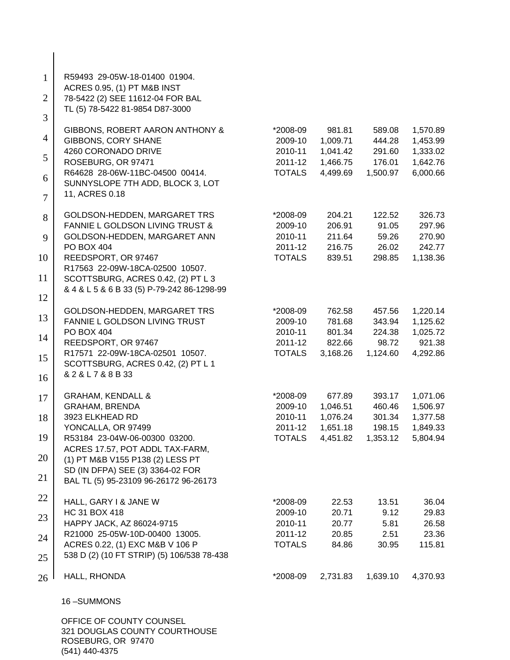| $\mathbf{1}$   | R59493 29-05W-18-01400 01904.                                 |                          |                      |                    |                      |
|----------------|---------------------------------------------------------------|--------------------------|----------------------|--------------------|----------------------|
|                | ACRES 0.95, (1) PT M&B INST                                   |                          |                      |                    |                      |
| $\overline{2}$ | 78-5422 (2) SEE 11612-04 FOR BAL                              |                          |                      |                    |                      |
| 3              | TL (5) 78-5422 81-9854 D87-3000                               |                          |                      |                    |                      |
|                | GIBBONS, ROBERT AARON ANTHONY &                               | *2008-09                 | 981.81               | 589.08             | 1,570.89             |
| $\overline{4}$ | <b>GIBBONS, CORY SHANE</b>                                    | 2009-10                  | 1,009.71             | 444.28             | 1,453.99             |
| 5              | 4260 CORONADO DRIVE                                           | 2010-11                  | 1,041.42             | 291.60             | 1,333.02             |
|                | ROSEBURG, OR 97471<br>R64628 28-06W-11BC-04500 00414.         | 2011-12<br><b>TOTALS</b> | 1,466.75<br>4,499.69 | 176.01<br>1,500.97 | 1,642.76<br>6,000.66 |
| 6              | SUNNYSLOPE 7TH ADD, BLOCK 3, LOT                              |                          |                      |                    |                      |
| $\overline{7}$ | 11, ACRES 0.18                                                |                          |                      |                    |                      |
|                |                                                               |                          |                      |                    |                      |
| 8              | GOLDSON-HEDDEN, MARGARET TRS                                  | *2008-09                 | 204.21               | 122.52             | 326.73               |
|                | <b>FANNIE L GOLDSON LIVING TRUST &amp;</b>                    | 2009-10<br>2010-11       | 206.91<br>211.64     | 91.05              | 297.96               |
| 9              | GOLDSON-HEDDEN, MARGARET ANN<br>PO BOX 404                    | 2011-12                  | 216.75               | 59.26<br>26.02     | 270.90<br>242.77     |
| 10             | REEDSPORT, OR 97467                                           | <b>TOTALS</b>            | 839.51               | 298.85             | 1,138.36             |
|                | R17563 22-09W-18CA-02500 10507.                               |                          |                      |                    |                      |
| 11             | SCOTTSBURG, ACRES 0.42, (2) PT L 3                            |                          |                      |                    |                      |
|                | & 4 & L 5 & 6 B 33 (5) P-79-242 86-1298-99                    |                          |                      |                    |                      |
| 12             |                                                               |                          |                      |                    |                      |
| 13             | GOLDSON-HEDDEN, MARGARET TRS<br>FANNIE L GOLDSON LIVING TRUST | *2008-09<br>2009-10      | 762.58<br>781.68     | 457.56<br>343.94   | 1,220.14<br>1,125.62 |
|                | PO BOX 404                                                    | 2010-11                  | 801.34               | 224.38             | 1,025.72             |
| 14             | REEDSPORT, OR 97467                                           | 2011-12                  | 822.66               | 98.72              | 921.38               |
|                | R17571 22-09W-18CA-02501 10507.                               | <b>TOTALS</b>            | 3,168.26             | 1,124.60           | 4,292.86             |
| 15             | SCOTTSBURG, ACRES 0.42, (2) PT L 1                            |                          |                      |                    |                      |
| 16             | &2&L7&8B33                                                    |                          |                      |                    |                      |
|                |                                                               |                          |                      |                    |                      |
| 17             | <b>GRAHAM, KENDALL &amp;</b><br>GRAHAM, BRENDA                | *2008-09<br>2009-10      | 677.89<br>1,046.51   | 393.17<br>460.46   | 1,071.06<br>1,506.97 |
| 18             | 3923 ELKHEAD RD                                               | 2010-11                  | 1,076.24             | 301.34             | 1,377.58             |
|                | YONCALLA, OR 97499                                            | 2011-12                  | 1,651.18             | 198.15             | 1,849.33             |
| 19             | R53184 23-04W-06-00300 03200.                                 | <b>TOTALS</b>            | 4,451.82             | 1,353.12           | 5,804.94             |
|                | ACRES 17.57, POT ADDL TAX-FARM,                               |                          |                      |                    |                      |
| 20             | (1) PT M&B V155 P138 (2) LESS PT                              |                          |                      |                    |                      |
| 21             | SD (IN DFPA) SEE (3) 3364-02 FOR                              |                          |                      |                    |                      |
|                | BAL TL (5) 95-23109 96-26172 96-26173                         |                          |                      |                    |                      |
| 22             | HALL, GARY I & JANE W                                         | *2008-09                 | 22.53                | 13.51              | 36.04                |
|                | HC 31 BOX 418                                                 | 2009-10                  | 20.71                | 9.12               | 29.83                |
| 23             | HAPPY JACK, AZ 86024-9715                                     | 2010-11                  | 20.77                | 5.81               | 26.58                |
| 24             | R21000 25-05W-10D-00400 13005.                                | 2011-12                  | 20.85                | 2.51               | 23.36                |
|                | ACRES 0.22, (1) EXC M&B V 106 P                               | <b>TOTALS</b>            | 84.86                | 30.95              | 115.81               |
| 25             | 538 D (2) (10 FT STRIP) (5) 106/538 78-438                    |                          |                      |                    |                      |
| 26             | HALL, RHONDA                                                  | *2008-09                 | 2,731.83             | 1,639.10           | 4,370.93             |
|                | 16-SUMMONS                                                    |                          |                      |                    |                      |
|                |                                                               |                          |                      |                    |                      |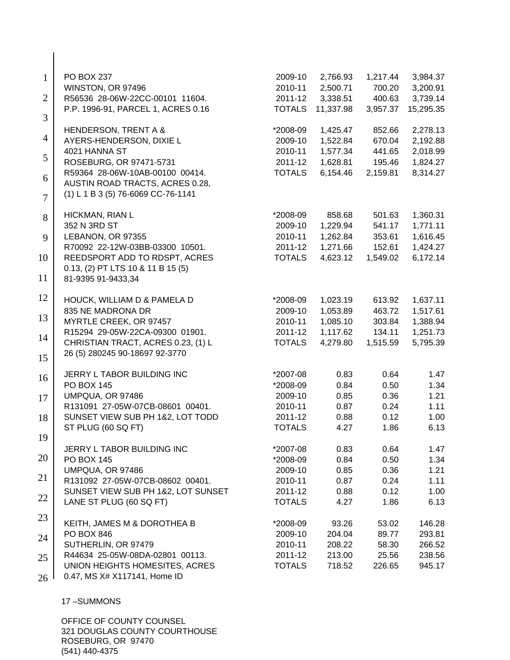| $\mathbf{1}$   | PO BOX 237                                              | 2009-10            | 2,766.93             | 1,217.44         | 3,984.37             |
|----------------|---------------------------------------------------------|--------------------|----------------------|------------------|----------------------|
| $\overline{2}$ | WINSTON, OR 97496<br>R56536 28-06W-22CC-00101 11604.    | 2010-11<br>2011-12 | 2,500.71<br>3,338.51 | 700.20<br>400.63 | 3,200.91<br>3,739.14 |
|                | P.P. 1996-91, PARCEL 1, ACRES 0.16                      | <b>TOTALS</b>      | 11,337.98            | 3,957.37         | 15,295.35            |
| 3              |                                                         |                    |                      |                  |                      |
| $\overline{4}$ | HENDERSON, TRENT A &                                    | *2008-09           | 1,425.47             | 852.66           | 2,278.13             |
|                | AYERS-HENDERSON, DIXIE L                                | 2009-10            | 1,522.84             | 670.04           | 2,192.88             |
| 5              | 4021 HANNA ST<br>ROSEBURG, OR 97471-5731                | 2010-11<br>2011-12 | 1,577.34<br>1,628.81 | 441.65<br>195.46 | 2,018.99<br>1,824.27 |
|                | R59364 28-06W-10AB-00100 00414.                         | <b>TOTALS</b>      | 6,154.46             | 2,159.81         | 8,314.27             |
| 6              | AUSTIN ROAD TRACTS, ACRES 0.28,                         |                    |                      |                  |                      |
| $\overline{7}$ | (1) L 1 B 3 (5) 76-6069 CC-76-1141                      |                    |                      |                  |                      |
| 8              | HICKMAN, RIAN L                                         | *2008-09           | 858.68               | 501.63           | 1,360.31             |
|                | 352 N 3RD ST                                            | 2009-10            | 1,229.94             | 541.17           | 1,771.11             |
| 9              | LEBANON, OR 97355                                       | 2010-11            | 1,262.84             | 353.61           | 1,616.45             |
|                | R70092 22-12W-03BB-03300 10501.                         | 2011-12            | 1,271.66             | 152.61           | 1,424.27             |
| 10             | REEDSPORT ADD TO RDSPT, ACRES                           | <b>TOTALS</b>      | 4,623.12             | 1,549.02         | 6,172.14             |
| 11             | 0.13, (2) PT LTS 10 & 11 B 15 (5)<br>81-9395 91-9433,34 |                    |                      |                  |                      |
|                |                                                         |                    |                      |                  |                      |
| 12             | HOUCK, WILLIAM D & PAMELA D                             | *2008-09           | 1,023.19             | 613.92           | 1,637.11             |
|                | 835 NE MADRONA DR                                       | 2009-10            | 1,053.89             | 463.72           | 1,517.61             |
| 13             | MYRTLE CREEK, OR 97457                                  | 2010-11            | 1,085.10             | 303.84           | 1,388.94             |
| 14             | R15294 29-05W-22CA-09300 01901.                         | 2011-12            | 1,117.62             | 134.11           | 1,251.73             |
|                | CHRISTIAN TRACT, ACRES 0.23, (1) L                      | <b>TOTALS</b>      | 4,279.80             | 1,515.59         | 5,795.39             |
| 15             | 26 (5) 280245 90-18697 92-3770                          |                    |                      |                  |                      |
| 16             | JERRY L TABOR BUILDING INC                              | *2007-08           | 0.83                 | 0.64             | 1.47                 |
|                | <b>PO BOX 145</b>                                       | *2008-09           | 0.84                 | 0.50             | 1.34                 |
| 17             | UMPQUA, OR 97486                                        | 2009-10            | 0.85                 | 0.36             | 1.21                 |
|                | R131091 27-05W-07CB-08601 00401.                        | 2010-11            | 0.87                 | 0.24             | 1.11                 |
| 18             | SUNSET VIEW SUB PH 1&2, LOT TODD                        | 2011-12            | 0.88                 | 0.12             | 1.00                 |
|                | ST PLUG (60 SQ FT)                                      | <b>TOTALS</b>      | 4.27                 | 1.86             | 6.13                 |
| 19             | JERRY L TABOR BUILDING INC                              | *2007-08           | 0.83                 | 0.64             | 1.47                 |
| 20             | <b>PO BOX 145</b>                                       | *2008-09           | 0.84                 | 0.50             | 1.34                 |
|                | UMPQUA, OR 97486                                        | 2009-10            | 0.85                 | 0.36             | 1.21                 |
| 21             | R131092 27-05W-07CB-08602 00401.                        | 2010-11            | 0.87                 | 0.24             | 1.11                 |
|                | SUNSET VIEW SUB PH 1&2, LOT SUNSET                      | 2011-12            | 0.88                 | 0.12             | 1.00                 |
| 22             | LANE ST PLUG (60 SQ FT)                                 | <b>TOTALS</b>      | 4.27                 | 1.86             | 6.13                 |
| 23             | KEITH, JAMES M & DOROTHEA B                             | *2008-09           | 93.26                | 53.02            | 146.28               |
|                | PO BOX 846                                              | 2009-10            | 204.04               | 89.77            | 293.81               |
| 24             | SUTHERLIN, OR 97479                                     | 2010-11            | 208.22               | 58.30            | 266.52               |
|                | R44634 25-05W-08DA-02801 00113.                         | 2011-12            | 213.00               | 25.56            | 238.56               |
| 25             | UNION HEIGHTS HOMESITES, ACRES                          | <b>TOTALS</b>      | 718.52               | 226.65           | 945.17               |
| 26             | 0.47, MS X# X117141, Home ID                            |                    |                      |                  |                      |

 $\overline{\phantom{a}}$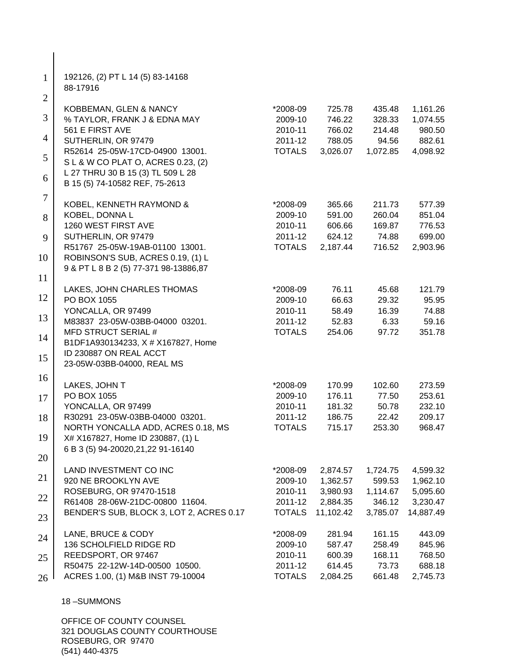| $\mathbf{1}$   | 192126, (2) PT L 14 (5) 83-14168<br>88-17916                     |                     |                  |                  |                      |
|----------------|------------------------------------------------------------------|---------------------|------------------|------------------|----------------------|
| $\overline{2}$ |                                                                  |                     |                  |                  |                      |
| 3              | KOBBEMAN, GLEN & NANCY<br>% TAYLOR, FRANK J & EDNA MAY           | *2008-09<br>2009-10 | 725.78<br>746.22 | 435.48<br>328.33 | 1,161.26<br>1,074.55 |
|                | 561 E FIRST AVE                                                  | 2010-11             | 766.02           | 214.48           | 980.50               |
| 4              | SUTHERLIN, OR 97479                                              | 2011-12             | 788.05           | 94.56            | 882.61               |
|                | R52614 25-05W-17CD-04900 13001.                                  | <b>TOTALS</b>       | 3,026.07         | 1,072.85         | 4,098.92             |
| 5              | S L & W CO PLAT O, ACRES 0.23, (2)                               |                     |                  |                  |                      |
|                | L 27 THRU 30 B 15 (3) TL 509 L 28                                |                     |                  |                  |                      |
| 6              | B 15 (5) 74-10582 REF, 75-2613                                   |                     |                  |                  |                      |
| $\tau$         | KOBEL, KENNETH RAYMOND &                                         | *2008-09            | 365.66           | 211.73           | 577.39               |
|                | KOBEL, DONNA L                                                   | 2009-10             | 591.00           | 260.04           | 851.04               |
| 8              | 1260 WEST FIRST AVE                                              | 2010-11             | 606.66           | 169.87           | 776.53               |
| 9              | SUTHERLIN, OR 97479                                              | 2011-12             | 624.12           | 74.88            | 699.00               |
|                | R51767 25-05W-19AB-01100 13001.                                  | <b>TOTALS</b>       | 2,187.44         | 716.52           | 2,903.96             |
| 10             | ROBINSON'S SUB, ACRES 0.19, (1) L                                |                     |                  |                  |                      |
|                | 9 & PT L 8 B 2 (5) 77-371 98-13886,87                            |                     |                  |                  |                      |
| 11             |                                                                  |                     |                  |                  |                      |
|                | LAKES, JOHN CHARLES THOMAS                                       | *2008-09            | 76.11            | 45.68            | 121.79               |
| 12             | PO BOX 1055                                                      | 2009-10             | 66.63            | 29.32            | 95.95                |
| 13             | YONCALLA, OR 97499                                               | 2010-11             | 58.49            | 16.39            | 74.88                |
|                | M83837 23-05W-03BB-04000 03201.                                  | 2011-12             | 52.83            | 6.33             | 59.16                |
| 14             | <b>MFD STRUCT SERIAL #</b><br>B1DF1A930134233, X # X167827, Home | <b>TOTALS</b>       | 254.06           | 97.72            | 351.78               |
|                | ID 230887 ON REAL ACCT                                           |                     |                  |                  |                      |
| 15             | 23-05W-03BB-04000, REAL MS                                       |                     |                  |                  |                      |
| 16             |                                                                  |                     |                  |                  |                      |
|                | LAKES, JOHN T                                                    | *2008-09            | 170.99           | 102.60           | 273.59               |
| 17             | PO BOX 1055                                                      | 2009-10             | 176.11           | 77.50            | 253.61               |
|                | YONCALLA, OR 97499                                               | 2010-11             | 181.32           | 50.78            | 232.10               |
| 18             | R30291 23-05W-03BB-04000 03201.                                  | 2011-12             | 186.75           | 22.42            | 209.17               |
|                | NORTH YONCALLA ADD, ACRES 0.18, MS                               | <b>TOTALS</b>       | 715.17           | 253.30           | 968.47               |
| 19             | X# X167827, Home ID 230887, (1) L                                |                     |                  |                  |                      |
| 20             | 6 B 3 (5) 94-20020, 21, 22 91-16140                              |                     |                  |                  |                      |
|                | LAND INVESTMENT CO INC                                           | *2008-09            | 2,874.57         | 1,724.75         | 4,599.32             |
| 21             | 920 NE BROOKLYN AVE                                              | 2009-10             | 1,362.57         | 599.53           | 1,962.10             |
|                | ROSEBURG, OR 97470-1518                                          | 2010-11             | 3,980.93         | 1,114.67         | 5,095.60             |
| 22             | R61408 28-06W-21DC-00800 11604.                                  | 2011-12             | 2,884.35         | 346.12           | 3,230.47             |
| 23             | BENDER'S SUB, BLOCK 3, LOT 2, ACRES 0.17                         | <b>TOTALS</b>       | 11,102.42        | 3,785.07         | 14,887.49            |
|                | LANE, BRUCE & CODY                                               | *2008-09            | 281.94           | 161.15           | 443.09               |
| 24             | 136 SCHOLFIELD RIDGE RD                                          | 2009-10             | 587.47           | 258.49           | 845.96               |
| 25             | REEDSPORT, OR 97467                                              | 2010-11             | 600.39           | 168.11           | 768.50               |
|                | R50475 22-12W-14D-00500 10500.                                   | 2011-12             | 614.45           | 73.73            | 688.18               |
| 26             | ACRES 1.00, (1) M&B INST 79-10004                                | <b>TOTALS</b>       | 2,084.25         | 661.48           | 2,745.73             |
|                | 18-SUMMONS                                                       |                     |                  |                  |                      |

 $\overline{\phantom{a}}$  $\overline{\phantom{a}}$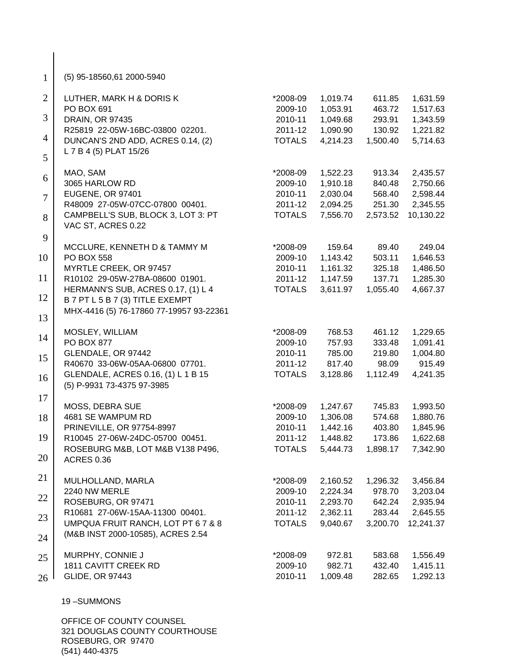| $\mathbf{1}$   | (5) 95-18560,61 2000-5940                                        |                          |                      |                    |                      |
|----------------|------------------------------------------------------------------|--------------------------|----------------------|--------------------|----------------------|
| $\overline{2}$ | LUTHER, MARK H & DORIS K                                         | *2008-09                 | 1,019.74             | 611.85             | 1,631.59             |
| 3              | PO BOX 691<br><b>DRAIN, OR 97435</b>                             | 2009-10                  | 1,053.91             | 463.72             | 1,517.63             |
|                | R25819 22-05W-16BC-03800 02201.                                  | 2010-11<br>2011-12       | 1,049.68<br>1,090.90 | 293.91<br>130.92   | 1,343.59<br>1,221.82 |
| $\overline{4}$ | DUNCAN'S 2ND ADD, ACRES 0.14, (2)                                | <b>TOTALS</b>            | 4,214.23             | 1,500.40           | 5,714.63             |
| 5              | L 7 B 4 (5) PLAT 15/26                                           |                          |                      |                    |                      |
| 6              | MAO, SAM                                                         | *2008-09                 | 1,522.23             | 913.34             | 2,435.57             |
|                | 3065 HARLOW RD                                                   | 2009-10                  | 1,910.18             | 840.48             | 2,750.66             |
| $\overline{7}$ | EUGENE, OR 97401<br>R48009 27-05W-07CC-07800 00401.              | 2010-11<br>2011-12       | 2,030.04<br>2,094.25 | 568.40<br>251.30   | 2,598.44<br>2,345.55 |
| 8              | CAMPBELL'S SUB, BLOCK 3, LOT 3: PT                               | <b>TOTALS</b>            | 7,556.70             | 2,573.52           | 10,130.22            |
|                | VAC ST, ACRES 0.22                                               |                          |                      |                    |                      |
| 9              | MCCLURE, KENNETH D & TAMMY M                                     | *2008-09                 | 159.64               | 89.40              | 249.04               |
| 10             | <b>PO BOX 558</b>                                                | 2009-10                  | 1,143.42             | 503.11             | 1,646.53             |
|                | MYRTLE CREEK, OR 97457                                           | 2010-11                  | 1,161.32             | 325.18             | 1,486.50             |
| 11             | R10102 29-05W-27BA-08600 01901.                                  | 2011-12                  | 1,147.59             | 137.71             | 1,285.30             |
|                | HERMANN'S SUB, ACRES 0.17, (1) L 4                               | <b>TOTALS</b>            | 3,611.97             | 1,055.40           | 4,667.37             |
| 12             | B 7 PT L 5 B 7 (3) TITLE EXEMPT                                  |                          |                      |                    |                      |
| 13             | MHX-4416 (5) 76-17860 77-19957 93-22361                          |                          |                      |                    |                      |
|                | MOSLEY, WILLIAM                                                  | *2008-09                 | 768.53               | 461.12             | 1,229.65             |
| 14             | PO BOX 877                                                       | 2009-10                  | 757.93               | 333.48             | 1,091.41             |
| 15             | GLENDALE, OR 97442                                               | 2010-11                  | 785.00               | 219.80             | 1,004.80             |
|                | R40670 33-06W-05AA-06800 07701.                                  | 2011-12                  | 817.40               | 98.09              | 915.49               |
| 16             | GLENDALE, ACRES 0.16, (1) L 1 B 15<br>(5) P-9931 73-4375 97-3985 | <b>TOTALS</b>            | 3,128.86             | 1,112.49           | 4,241.35             |
| 17             |                                                                  |                          |                      |                    |                      |
|                | MOSS, DEBRA SUE                                                  | *2008-09                 | 1,247.67             | 745.83             | 1,993.50             |
| 18             | 4681 SE WAMPUM RD                                                | 2009-10                  | 1,306.08             | 574.68             | 1,880.76             |
| 19             | PRINEVILLE, OR 97754-8997<br>R10045 27-06W-24DC-05700 00451.     | 2010-11                  | 1,442.16             | 403.80             | 1,845.96             |
|                | ROSEBURG M&B, LOT M&B V138 P496,                                 | 2011-12<br><b>TOTALS</b> | 1,448.82<br>5,444.73 | 173.86<br>1,898.17 | 1,622.68<br>7,342.90 |
| 20             | <b>ACRES 0.36</b>                                                |                          |                      |                    |                      |
| 21             | MULHOLLAND, MARLA                                                | *2008-09                 | 2,160.52             | 1,296.32           | 3,456.84             |
|                | 2240 NW MERLE                                                    | 2009-10                  | 2,224.34             | 978.70             | 3,203.04             |
| 22             | ROSEBURG, OR 97471                                               | 2010-11                  | 2,293.70             | 642.24             | 2,935.94             |
| 23             | R10681 27-06W-15AA-11300 00401.                                  | 2011-12                  | 2,362.11             | 283.44             | 2,645.55             |
|                | UMPQUA FRUIT RANCH, LOT PT 6 7 & 8                               | <b>TOTALS</b>            | 9,040.67             | 3,200.70           | 12,241.37            |
| 24             | (M&B INST 2000-10585), ACRES 2.54                                |                          |                      |                    |                      |
| 25             | MURPHY, CONNIE J                                                 | *2008-09                 | 972.81               | 583.68             | 1,556.49             |
|                | <b>1811 CAVITT CREEK RD</b>                                      | 2009-10                  | 982.71               | 432.40             | 1,415.11             |
| 26             | <b>GLIDE, OR 97443</b>                                           | 2010-11                  | 1,009.48             | 282.65             | 1,292.13             |
|                |                                                                  |                          |                      |                    |                      |

 $\begin{array}{c} \hline \end{array}$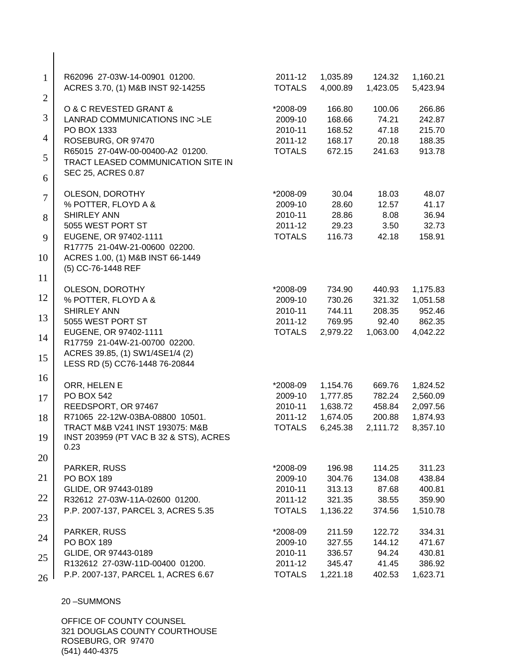| $\mathbf{1}$   | R62096 27-03W-14-00901 01200.<br>ACRES 3.70, (1) M&B INST 92-14255 | 2011-12<br><b>TOTALS</b> | 1,035.89<br>4,000.89 | 124.32<br>1,423.05 | 1,160.21<br>5,423.94 |
|----------------|--------------------------------------------------------------------|--------------------------|----------------------|--------------------|----------------------|
| $\overline{2}$ |                                                                    |                          |                      |                    |                      |
|                | O & C REVESTED GRANT &                                             | *2008-09                 | 166.80               | 100.06             | 266.86               |
| 3              | LANRAD COMMUNICATIONS INC >LE                                      | 2009-10                  | 168.66               | 74.21              | 242.87               |
| 4              | PO BOX 1333                                                        | 2010-11                  | 168.52               | 47.18              | 215.70               |
|                | ROSEBURG, OR 97470<br>R65015 27-04W-00-00400-A2 01200.             | 2011-12<br><b>TOTALS</b> | 168.17<br>672.15     | 20.18<br>241.63    | 188.35<br>913.78     |
| 5              | TRACT LEASED COMMUNICATION SITE IN                                 |                          |                      |                    |                      |
| 6              | SEC 25, ACRES 0.87                                                 |                          |                      |                    |                      |
| 7              | OLESON, DOROTHY                                                    | *2008-09                 | 30.04                | 18.03              | 48.07                |
|                | % POTTER, FLOYD A &                                                | 2009-10                  | 28.60                | 12.57              | 41.17                |
| 8              | <b>SHIRLEY ANN</b>                                                 | 2010-11                  | 28.86                | 8.08               | 36.94                |
|                | 5055 WEST PORT ST                                                  | 2011-12                  | 29.23                | 3.50               | 32.73                |
| 9              | EUGENE, OR 97402-1111                                              | <b>TOTALS</b>            | 116.73               | 42.18              | 158.91               |
|                | R17775 21-04W-21-00600 02200.                                      |                          |                      |                    |                      |
| 10             | ACRES 1.00, (1) M&B INST 66-1449<br>(5) CC-76-1448 REF             |                          |                      |                    |                      |
| 11             |                                                                    |                          |                      |                    |                      |
|                | OLESON, DOROTHY                                                    | *2008-09                 | 734.90               | 440.93             | 1,175.83             |
| 12             | % POTTER, FLOYD A &                                                | 2009-10                  | 730.26               | 321.32             | 1,051.58             |
| 13             | <b>SHIRLEY ANN</b>                                                 | 2010-11                  | 744.11               | 208.35             | 952.46               |
|                | 5055 WEST PORT ST                                                  | 2011-12                  | 769.95               | 92.40              | 862.35               |
| 14             | EUGENE, OR 97402-1111<br>R17759 21-04W-21-00700 02200.             | <b>TOTALS</b>            | 2,979.22             | 1,063.00           | 4,042.22             |
|                | ACRES 39.85, (1) SW1/4SE1/4 (2)                                    |                          |                      |                    |                      |
| 15             | LESS RD (5) CC76-1448 76-20844                                     |                          |                      |                    |                      |
|                |                                                                    |                          |                      |                    |                      |
| 16             | ORR, HELEN E                                                       | *2008-09                 | 1,154.76             | 669.76             | 1,824.52             |
| 17             | PO BOX 542                                                         | 2009-10                  | 1,777.85             | 782.24             | 2,560.09             |
|                | REEDSPORT, OR 97467                                                | 2010-11                  | 1,638.72             | 458.84             | 2,097.56             |
| 18             | R71065 22-12W-03BA-08800 10501.                                    | 2011-12                  | 1,674.05             | 200.88             | 1,874.93             |
|                | TRACT M&B V241 INST 193075: M&B                                    | <b>TOTALS</b>            | 6,245.38             | 2,111.72           | 8,357.10             |
| 19             | INST 203959 (PT VAC B 32 & STS), ACRES<br>0.23                     |                          |                      |                    |                      |
| 20             |                                                                    |                          |                      |                    |                      |
|                | PARKER, RUSS                                                       | *2008-09                 | 196.98               | 114.25             | 311.23               |
| 21             | <b>PO BOX 189</b>                                                  | 2009-10                  | 304.76               | 134.08             | 438.84               |
|                | GLIDE, OR 97443-0189                                               | 2010-11                  | 313.13               | 87.68              | 400.81               |
| 22             | R32612 27-03W-11A-02600 01200.                                     | 2011-12                  | 321.35               | 38.55              | 359.90               |
| 23             | P.P. 2007-137, PARCEL 3, ACRES 5.35                                | <b>TOTALS</b>            | 1,136.22             | 374.56             | 1,510.78             |
|                | PARKER, RUSS                                                       | *2008-09                 | 211.59               | 122.72             | 334.31               |
| 24             | PO BOX 189                                                         | 2009-10                  | 327.55               | 144.12             | 471.67               |
| 25             | GLIDE, OR 97443-0189                                               | 2010-11                  | 336.57               | 94.24              | 430.81               |
|                | R132612 27-03W-11D-00400 01200.                                    | 2011-12                  | 345.47               | 41.45              | 386.92               |
| 26             | P.P. 2007-137, PARCEL 1, ACRES 6.67                                | <b>TOTALS</b>            | 1,221.18             | 402.53             | 1,623.71             |
|                |                                                                    |                          |                      |                    |                      |

 $\overline{\phantom{a}}$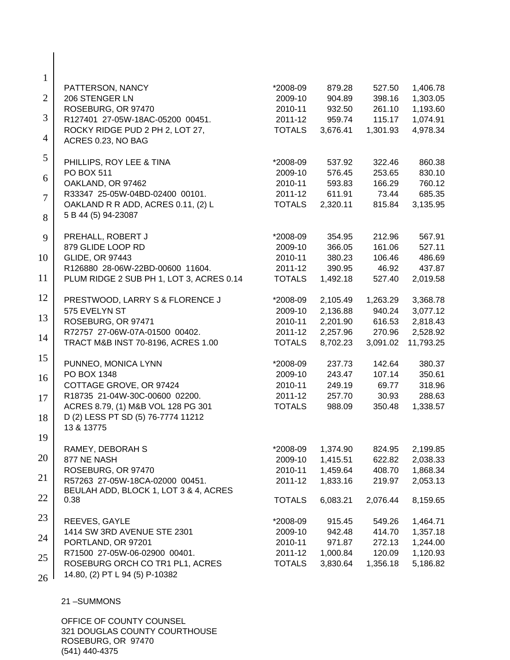| $\mathbf{1}$   |                                          |               |          |          |           |
|----------------|------------------------------------------|---------------|----------|----------|-----------|
|                | PATTERSON, NANCY                         | *2008-09      | 879.28   | 527.50   | 1,406.78  |
| $\overline{2}$ | 206 STENGER LN                           | 2009-10       | 904.89   | 398.16   | 1,303.05  |
|                | ROSEBURG, OR 97470                       | 2010-11       | 932.50   | 261.10   | 1,193.60  |
| 3              | R127401 27-05W-18AC-05200 00451.         | 2011-12       | 959.74   | 115.17   | 1,074.91  |
| $\overline{4}$ | ROCKY RIDGE PUD 2 PH 2, LOT 27,          | <b>TOTALS</b> | 3,676.41 | 1,301.93 | 4,978.34  |
|                | ACRES 0.23, NO BAG                       |               |          |          |           |
| 5              | PHILLIPS, ROY LEE & TINA                 | *2008-09      | 537.92   | 322.46   | 860.38    |
|                | <b>PO BOX 511</b>                        | 2009-10       | 576.45   | 253.65   | 830.10    |
| 6              | OAKLAND, OR 97462                        | 2010-11       | 593.83   | 166.29   | 760.12    |
| $\overline{7}$ | R33347 25-05W-04BD-02400 00101.          | 2011-12       | 611.91   | 73.44    | 685.35    |
|                | OAKLAND R R ADD, ACRES 0.11, (2) L       | <b>TOTALS</b> | 2,320.11 | 815.84   | 3,135.95  |
| 8              | 5 B 44 (5) 94-23087                      |               |          |          |           |
| 9              | PREHALL, ROBERT J                        | *2008-09      | 354.95   | 212.96   | 567.91    |
|                | 879 GLIDE LOOP RD                        | 2009-10       | 366.05   | 161.06   | 527.11    |
| 10             | <b>GLIDE, OR 97443</b>                   | 2010-11       | 380.23   | 106.46   | 486.69    |
|                | R126880 28-06W-22BD-00600 11604.         | 2011-12       | 390.95   | 46.92    | 437.87    |
| 11             | PLUM RIDGE 2 SUB PH 1, LOT 3, ACRES 0.14 | <b>TOTALS</b> | 1,492.18 | 527.40   | 2,019.58  |
|                |                                          |               |          |          |           |
| 12             | PRESTWOOD, LARRY S & FLORENCE J          | *2008-09      | 2,105.49 | 1,263.29 | 3,368.78  |
|                | 575 EVELYN ST                            | 2009-10       | 2,136.88 | 940.24   | 3,077.12  |
| 13             | ROSEBURG, OR 97471                       | 2010-11       | 2,201.90 | 616.53   | 2,818.43  |
|                | R72757 27-06W-07A-01500 00402.           | 2011-12       | 2,257.96 | 270.96   | 2,528.92  |
| 14             | TRACT M&B INST 70-8196, ACRES 1.00       | <b>TOTALS</b> | 8,702.23 | 3,091.02 | 11,793.25 |
| 15             | PUNNEO, MONICA LYNN                      | *2008-09      | 237.73   | 142.64   | 380.37    |
|                | PO BOX 1348                              | 2009-10       | 243.47   | 107.14   | 350.61    |
| 16             | COTTAGE GROVE, OR 97424                  | 2010-11       | 249.19   | 69.77    | 318.96    |
|                | R18735 21-04W-30C-00600 02200.           | 2011-12       | 257.70   | 30.93    | 288.63    |
| 17             | ACRES 8.79, (1) M&B VOL 128 PG 301       | <b>TOTALS</b> | 988.09   | 350.48   | 1,338.57  |
| 18             | D (2) LESS PT SD (5) 76-7774 11212       |               |          |          |           |
|                | 13 & 13775                               |               |          |          |           |
| 19             |                                          |               |          |          |           |
|                | RAMEY, DEBORAH S                         | *2008-09      | 1,374.90 | 824.95   | 2,199.85  |
| 20             | 877 NE NASH                              | 2009-10       | 1,415.51 | 622.82   | 2,038.33  |
|                | ROSEBURG, OR 97470                       | 2010-11       | 1,459.64 | 408.70   | 1,868.34  |
| 21             | R57263 27-05W-18CA-02000 00451.          | 2011-12       | 1,833.16 | 219.97   | 2,053.13  |
|                | BEULAH ADD, BLOCK 1, LOT 3 & 4, ACRES    |               |          |          |           |
| 22             | 0.38                                     | <b>TOTALS</b> | 6,083.21 | 2,076.44 | 8,159.65  |
| 23             | REEVES, GAYLE                            | *2008-09      | 915.45   | 549.26   | 1,464.71  |
|                | 1414 SW 3RD AVENUE STE 2301              | 2009-10       | 942.48   | 414.70   | 1,357.18  |
| 24             | PORTLAND, OR 97201                       | 2010-11       | 971.87   | 272.13   | 1,244.00  |
|                | R71500 27-05W-06-02900 00401.            | 2011-12       | 1,000.84 | 120.09   | 1,120.93  |
| 25             | ROSEBURG ORCH CO TR1 PL1, ACRES          | <b>TOTALS</b> | 3,830.64 | 1,356.18 | 5,186.82  |
| 26             | 14.80, (2) PT L 94 (5) P-10382           |               |          |          |           |
|                |                                          |               |          |          |           |

 $\Big\}$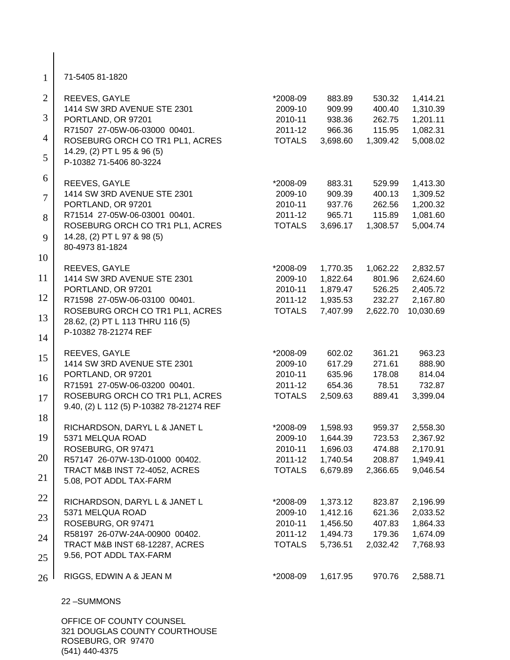| $\mathbf{1}$   | 71-5405 81-1820                                                             |                          |                      |                    |                       |
|----------------|-----------------------------------------------------------------------------|--------------------------|----------------------|--------------------|-----------------------|
| $\overline{2}$ | REEVES, GAYLE                                                               | *2008-09                 | 883.89               | 530.32             | 1,414.21              |
| 3              | 1414 SW 3RD AVENUE STE 2301<br>PORTLAND, OR 97201                           | 2009-10<br>2010-11       | 909.99<br>938.36     | 400.40<br>262.75   | 1,310.39<br>1,201.11  |
|                | R71507 27-05W-06-03000 00401.                                               | 2011-12                  | 966.36               | 115.95             | 1,082.31              |
| 4              | ROSEBURG ORCH CO TR1 PL1, ACRES                                             | <b>TOTALS</b>            | 3,698.60             | 1,309.42           | 5,008.02              |
| 5              | 14.29, (2) PT L 95 & 96 (5)<br>P-10382 71-5406 80-3224                      |                          |                      |                    |                       |
| 6              | REEVES, GAYLE                                                               | *2008-09                 | 883.31               | 529.99             | 1,413.30              |
| $\overline{7}$ | 1414 SW 3RD AVENUE STE 2301                                                 | 2009-10                  | 909.39               | 400.13             | 1,309.52              |
|                | PORTLAND, OR 97201                                                          | 2010-11                  | 937.76               | 262.56             | 1,200.32              |
| 8              | R71514 27-05W-06-03001 00401.                                               | 2011-12                  | 965.71               | 115.89             | 1,081.60              |
|                | ROSEBURG ORCH CO TR1 PL1, ACRES                                             | <b>TOTALS</b>            | 3,696.17             | 1,308.57           | 5,004.74              |
| 9              | 14.28, (2) PT L 97 & 98 (5)<br>80-4973 81-1824                              |                          |                      |                    |                       |
| 10             |                                                                             |                          |                      |                    |                       |
|                | REEVES, GAYLE                                                               | *2008-09                 | 1,770.35             | 1,062.22           | 2,832.57              |
| 11             | 1414 SW 3RD AVENUE STE 2301                                                 | 2009-10                  | 1,822.64             | 801.96             | 2,624.60              |
| 12             | PORTLAND, OR 97201                                                          | 2010-11                  | 1,879.47             | 526.25             | 2,405.72              |
|                | R71598 27-05W-06-03100 00401.<br>ROSEBURG ORCH CO TR1 PL1, ACRES            | 2011-12<br><b>TOTALS</b> | 1,935.53<br>7,407.99 | 232.27<br>2,622.70 | 2,167.80<br>10,030.69 |
| 13             | 28.62, (2) PT L 113 THRU 116 (5)                                            |                          |                      |                    |                       |
| 14             | P-10382 78-21274 REF                                                        |                          |                      |                    |                       |
| 15             | REEVES, GAYLE                                                               | *2008-09                 | 602.02               | 361.21             | 963.23                |
|                | 1414 SW 3RD AVENUE STE 2301                                                 | 2009-10                  | 617.29               | 271.61             | 888.90                |
| 16             | PORTLAND, OR 97201                                                          | 2010-11                  | 635.96               | 178.08             | 814.04                |
|                | R71591 27-05W-06-03200 00401.                                               | 2011-12                  | 654.36               | 78.51              | 732.87                |
| 17             | ROSEBURG ORCH CO TR1 PL1, ACRES<br>9.40, (2) L 112 (5) P-10382 78-21274 REF | <b>TOTALS</b>            | 2,509.63             | 889.41             | 3,399.04              |
| 18             |                                                                             |                          |                      |                    |                       |
| 19             | RICHARDSON, DARYL L & JANET L<br>5371 MELQUA ROAD                           | *2008-09<br>2009-10      | 1,598.93<br>1,644.39 | 959.37<br>723.53   | 2,558.30<br>2,367.92  |
|                | ROSEBURG, OR 97471                                                          | 2010-11                  | 1,696.03             | 474.88             | 2,170.91              |
| 20             | R57147 26-07W-13D-01000 00402.                                              | 2011-12                  | 1,740.54             | 208.87             | 1,949.41              |
|                | TRACT M&B INST 72-4052, ACRES                                               | <b>TOTALS</b>            | 6,679.89             | 2,366.65           | 9,046.54              |
| 21             | 5.08, POT ADDL TAX-FARM                                                     |                          |                      |                    |                       |
| 22             | RICHARDSON, DARYL L & JANET L                                               | *2008-09                 | 1,373.12             | 823.87             | 2,196.99              |
|                | 5371 MELQUA ROAD                                                            | 2009-10                  | 1,412.16             | 621.36             | 2,033.52              |
| 23             | ROSEBURG, OR 97471                                                          | 2010-11                  | 1,456.50             | 407.83             | 1,864.33              |
| 24             | R58197 26-07W-24A-00900 00402.                                              | 2011-12                  | 1,494.73             | 179.36             | 1,674.09              |
|                | TRACT M&B INST 68-12287, ACRES                                              | <b>TOTALS</b>            | 5,736.51             | 2,032.42           | 7,768.93              |
| 25             | 9.56, POT ADDL TAX-FARM                                                     |                          |                      |                    |                       |
| 26             | RIGGS, EDWIN A & JEAN M                                                     | *2008-09                 | 1,617.95             | 970.76             | 2,588.71              |
|                | 22-SUMMONS                                                                  |                          |                      |                    |                       |

 $\mathsf{l}$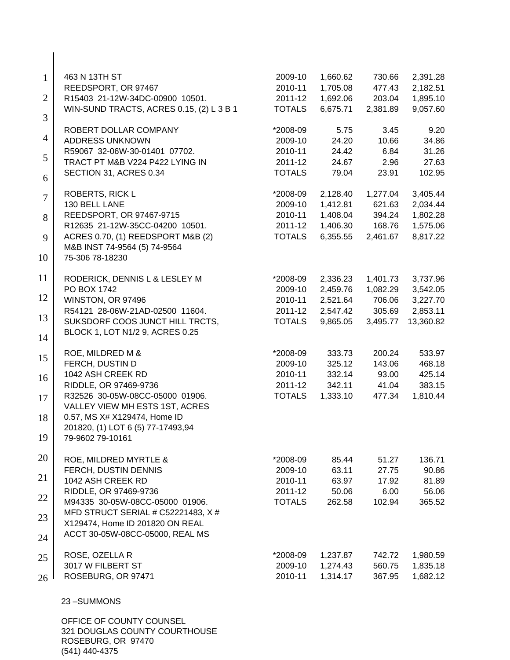| $\mathbf{1}$<br>$\overline{2}$                       | 463 N 13TH ST<br>REEDSPORT, OR 97467<br>R15403 21-12W-34DC-00900 10501.<br>WIN-SUND TRACTS, ACRES 0.15, (2) L 3 B 1                                                                                                                                                                                     | 2009-10<br>2010-11<br>2011-12<br><b>TOTALS</b>                                               | 1,660.62<br>1,705.08<br>1,692.06<br>6,675.71                                   | 730.66<br>477.43<br>203.04<br>2,381.89                                  | 2,391.28<br>2,182.51<br>1,895.10<br>9,057.60                                    |
|------------------------------------------------------|---------------------------------------------------------------------------------------------------------------------------------------------------------------------------------------------------------------------------------------------------------------------------------------------------------|----------------------------------------------------------------------------------------------|--------------------------------------------------------------------------------|-------------------------------------------------------------------------|---------------------------------------------------------------------------------|
| 3<br>$\overline{4}$<br>5<br>6<br>$\overline{7}$<br>8 | ROBERT DOLLAR COMPANY<br><b>ADDRESS UNKNOWN</b><br>R59067 32-06W-30-01401 07702.<br>TRACT PT M&B V224 P422 LYING IN<br>SECTION 31, ACRES 0.34<br>ROBERTS, RICK L<br>130 BELL LANE<br>REEDSPORT, OR 97467-9715                                                                                           | *2008-09<br>2009-10<br>2010-11<br>2011-12<br><b>TOTALS</b><br>*2008-09<br>2009-10<br>2010-11 | 5.75<br>24.20<br>24.42<br>24.67<br>79.04<br>2,128.40<br>1,412.81<br>1,408.04   | 3.45<br>10.66<br>6.84<br>2.96<br>23.91<br>1,277.04<br>621.63<br>394.24  | 9.20<br>34.86<br>31.26<br>27.63<br>102.95<br>3,405.44<br>2,034.44<br>1,802.28   |
| 9<br>10                                              | R12635 21-12W-35CC-04200 10501.<br>ACRES 0.70, (1) REEDSPORT M&B (2)<br>M&B INST 74-9564 (5) 74-9564<br>75-306 78-18230                                                                                                                                                                                 | 2011-12<br><b>TOTALS</b>                                                                     | 1,406.30<br>6,355.55                                                           | 168.76<br>2,461.67                                                      | 1,575.06<br>8,817.22                                                            |
| 11<br>12<br>13<br>14                                 | RODERICK, DENNIS L & LESLEY M<br>PO BOX 1742<br>WINSTON, OR 97496<br>R54121 28-06W-21AD-02500 11604.<br>SUKSDORF COOS JUNCT HILL TRCTS,<br>BLOCK 1, LOT N1/2 9, ACRES 0.25                                                                                                                              | *2008-09<br>2009-10<br>2010-11<br>2011-12<br><b>TOTALS</b>                                   | 2,336.23<br>2,459.76<br>2,521.64<br>2,547.42<br>9,865.05                       | 1,401.73<br>1,082.29<br>706.06<br>305.69<br>3,495.77                    | 3,737.96<br>3,542.05<br>3,227.70<br>2,853.11<br>13,360.82                       |
| 15<br>16<br>17<br>18<br>19                           | ROE, MILDRED M &<br>FERCH, DUSTIN D<br>1042 ASH CREEK RD<br>RIDDLE, OR 97469-9736<br>R32526 30-05W-08CC-05000 01906.<br>VALLEY VIEW MH ESTS 1ST, ACRES<br>0.57, MS X# X129474, Home ID<br>201820, (1) LOT 6 (5) 77-17493,94<br>79-9602 79-10161                                                         | *2008-09<br>2009-10<br>2010-11<br>2011-12<br><b>TOTALS</b>                                   | 333.73<br>325.12<br>332.14<br>342.11<br>1,333.10                               | 200.24<br>143.06<br>93.00<br>41.04<br>477.34                            | 533.97<br>468.18<br>425.14<br>383.15<br>1,810.44                                |
| 20<br>21<br>22<br>23<br>24<br>25<br>26               | ROE, MILDRED MYRTLE &<br>FERCH, DUSTIN DENNIS<br>1042 ASH CREEK RD<br>RIDDLE, OR 97469-9736<br>M94335 30-05W-08CC-05000 01906.<br>MFD STRUCT SERIAL # C52221483, X #<br>X129474, Home ID 201820 ON REAL<br>ACCT 30-05W-08CC-05000, REAL MS<br>ROSE, OZELLA R<br>3017 W FILBERT ST<br>ROSEBURG, OR 97471 | *2008-09<br>2009-10<br>2010-11<br>2011-12<br><b>TOTALS</b><br>*2008-09<br>2009-10<br>2010-11 | 85.44<br>63.11<br>63.97<br>50.06<br>262.58<br>1,237.87<br>1,274.43<br>1,314.17 | 51.27<br>27.75<br>17.92<br>6.00<br>102.94<br>742.72<br>560.75<br>367.95 | 136.71<br>90.86<br>81.89<br>56.06<br>365.52<br>1,980.59<br>1,835.18<br>1,682.12 |
|                                                      | 23-SUMMONS<br>OFFICE OF COUNTY COUNSEL                                                                                                                                                                                                                                                                  |                                                                                              |                                                                                |                                                                         |                                                                                 |

321 DOUGLAS COUNTY COURTHOUSE ROSEBURG, OR 97470 (541) 440-4375

 $\Big\}$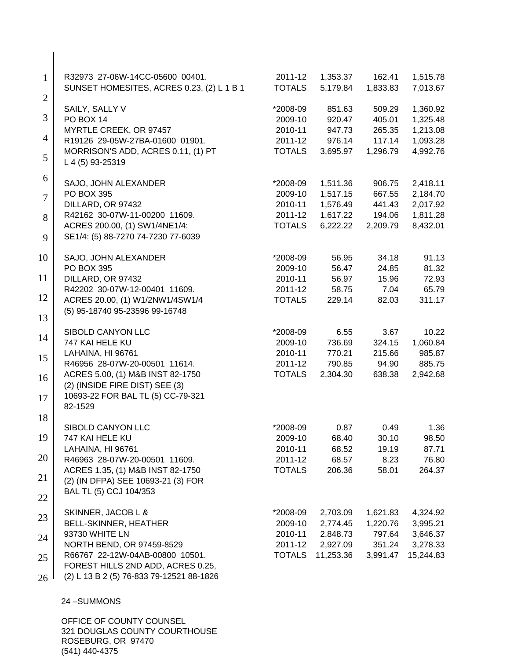| $\mathbf{1}$   | R32973 27-06W-14CC-05600 00401.<br>SUNSET HOMESITES, ACRES 0.23, (2) L 1 B 1 | 2011-12<br><b>TOTALS</b> | 1,353.37<br>5,179.84 | 162.41<br>1,833.83 | 1,515.78<br>7,013.67 |
|----------------|------------------------------------------------------------------------------|--------------------------|----------------------|--------------------|----------------------|
| $\overline{2}$ | SAILY, SALLY V                                                               | *2008-09                 | 851.63               | 509.29             | 1,360.92             |
| 3              | PO BOX 14                                                                    | 2009-10                  | 920.47               | 405.01             | 1,325.48             |
|                | MYRTLE CREEK, OR 97457                                                       | 2010-11                  | 947.73               | 265.35             | 1,213.08             |
| $\overline{4}$ | R19126 29-05W-27BA-01600 01901.                                              | 2011-12                  | 976.14               | 117.14             | 1,093.28             |
| 5              | MORRISON'S ADD, ACRES 0.11, (1) PT<br>L 4 (5) 93-25319                       | <b>TOTALS</b>            | 3,695.97             | 1,296.79           | 4,992.76             |
| 6              | SAJO, JOHN ALEXANDER                                                         | *2008-09                 | 1,511.36             | 906.75             | 2,418.11             |
|                | PO BOX 395                                                                   | 2009-10                  | 1,517.15             | 667.55             | 2,184.70             |
| $\overline{7}$ | DILLARD, OR 97432                                                            | 2010-11                  | 1,576.49             | 441.43             | 2,017.92             |
| 8              | R42162 30-07W-11-00200 11609.                                                | 2011-12                  | 1,617.22             | 194.06             | 1,811.28             |
|                | ACRES 200.00, (1) SW1/4NE1/4:                                                | <b>TOTALS</b>            | 6,222.22             | 2,209.79           | 8,432.01             |
| 9              | SE1/4: (5) 88-7270 74-7230 77-6039                                           |                          |                      |                    |                      |
| 10             | SAJO, JOHN ALEXANDER                                                         | *2008-09                 | 56.95                | 34.18              | 91.13                |
|                | PO BOX 395                                                                   | 2009-10                  | 56.47                | 24.85              | 81.32                |
| 11             | DILLARD, OR 97432                                                            | 2010-11                  | 56.97                | 15.96              | 72.93                |
|                | R42202 30-07W-12-00401 11609.                                                | 2011-12                  | 58.75                | 7.04               | 65.79                |
| 12             | ACRES 20.00, (1) W1/2NW1/4SW1/4                                              | <b>TOTALS</b>            | 229.14               | 82.03              | 311.17               |
| 13             | (5) 95-18740 95-23596 99-16748                                               |                          |                      |                    |                      |
|                | SIBOLD CANYON LLC                                                            | *2008-09                 | 6.55                 | 3.67               | 10.22                |
| 14             | 747 KAI HELE KU                                                              | 2009-10                  | 736.69               | 324.15             | 1,060.84             |
|                | LAHAINA, HI 96761                                                            | 2010-11                  | 770.21               | 215.66             | 985.87               |
| 15             | R46956 28-07W-20-00501 11614.                                                | 2011-12                  | 790.85               | 94.90              | 885.75               |
| 16             | ACRES 5.00, (1) M&B INST 82-1750                                             | <b>TOTALS</b>            | 2,304.30             | 638.38             | 2,942.68             |
|                | (2) (INSIDE FIRE DIST) SEE (3)                                               |                          |                      |                    |                      |
| 17             | 10693-22 FOR BAL TL (5) CC-79-321                                            |                          |                      |                    |                      |
|                | 82-1529                                                                      |                          |                      |                    |                      |
| 18             |                                                                              |                          |                      |                    |                      |
|                | SIBOLD CANYON LLC                                                            | *2008-09                 | 0.87                 | 0.49               | 1.36                 |
| 19             | 747 KAI HELE KU                                                              | 2009-10                  | 68.40                | 30.10              | 98.50                |
|                | LAHAINA, HI 96761                                                            | 2010-11                  | 68.52                | 19.19              | 87.71                |
| 20             | R46963 28-07W-20-00501 11609.                                                | 2011-12                  | 68.57                | 8.23               | 76.80                |
|                | ACRES 1.35, (1) M&B INST 82-1750                                             | <b>TOTALS</b>            | 206.36               | 58.01              | 264.37               |
| 21             | (2) (IN DFPA) SEE 10693-21 (3) FOR                                           |                          |                      |                    |                      |
| 22             | BAL TL (5) CCJ 104/353                                                       |                          |                      |                    |                      |
| 23             | SKINNER, JACOB L &                                                           | *2008-09                 | 2,703.09             | 1,621.83           | 4,324.92             |
|                | <b>BELL-SKINNER, HEATHER</b>                                                 | 2009-10                  | 2,774.45             | 1,220.76           | 3,995.21             |
| 24             | 93730 WHITE LN                                                               | 2010-11                  | 2,848.73             | 797.64             | 3,646.37             |
|                | NORTH BEND, OR 97459-8529                                                    | 2011-12                  | 2,927.09             | 351.24             | 3,278.33             |
| 25             | R66767 22-12W-04AB-00800 10501.                                              | <b>TOTALS</b>            | 11,253.36            | 3,991.47           | 15,244.83            |
|                | FOREST HILLS 2ND ADD, ACRES 0.25,                                            |                          |                      |                    |                      |
| 26             | (2) L 13 B 2 (5) 76-833 79-12521 88-1826                                     |                          |                      |                    |                      |
|                | 24-SUMMONS                                                                   |                          |                      |                    |                      |
|                | OMIUTVOMI                                                                    |                          |                      |                    |                      |

 $\Big\}$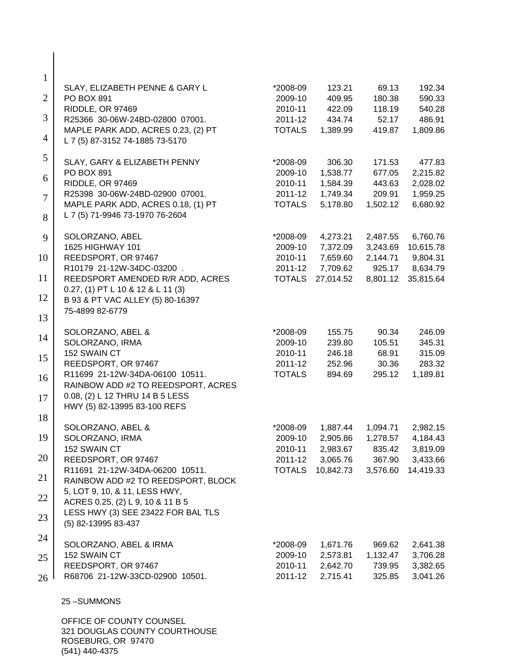| $\mathbf{1}$   |                                                                         |               |           |          |           |
|----------------|-------------------------------------------------------------------------|---------------|-----------|----------|-----------|
|                | SLAY, ELIZABETH PENNE & GARY L                                          | *2008-09      | 123.21    | 69.13    | 192.34    |
| $\overline{2}$ | PO BOX 891                                                              | 2009-10       | 409.95    | 180.38   | 590.33    |
| 3              | RIDDLE, OR 97469                                                        | 2010-11       | 422.09    | 118.19   | 540.28    |
|                | R25366 30-06W-24BD-02800 07001.                                         | 2011-12       | 434.74    | 52.17    | 486.91    |
| $\overline{4}$ | MAPLE PARK ADD, ACRES 0.23, (2) PT<br>L 7 (5) 87-3152 74-1885 73-5170   | <b>TOTALS</b> | 1,389.99  | 419.87   | 1,809.86  |
| 5              | SLAY, GARY & ELIZABETH PENNY                                            | *2008-09      | 306.30    | 171.53   | 477.83    |
| 6              | PO BOX 891                                                              | 2009-10       | 1,538.77  | 677.05   | 2,215.82  |
|                | RIDDLE, OR 97469                                                        | 2010-11       | 1,584.39  | 443.63   | 2,028.02  |
| $\overline{7}$ | R25398 30-06W-24BD-02900 07001.                                         | 2011-12       | 1,749.34  | 209.91   | 1,959.25  |
| 8              | MAPLE PARK ADD, ACRES 0.18, (1) PT<br>L 7 (5) 71-9946 73-1970 76-2604   | <b>TOTALS</b> | 5,178.80  | 1,502.12 | 6,680.92  |
| 9              | SOLORZANO, ABEL                                                         | *2008-09      | 4,273.21  | 2,487.55 | 6,760.76  |
|                | 1625 HIGHWAY 101                                                        | 2009-10       | 7,372.09  | 3,243.69 | 10,615.78 |
| 10             | REEDSPORT, OR 97467                                                     | 2010-11       | 7,659.60  | 2,144.71 | 9,804.31  |
|                | R10179 21-12W-34DC-03200.                                               | 2011-12       | 7,709.62  | 925.17   | 8,634.79  |
| 11             | REEDSPORT AMENDED R/R ADD, ACRES<br>$0.27, (1)$ PT L 10 & 12 & L 11 (3) | <b>TOTALS</b> | 27,014.52 | 8,801.12 | 35,815.64 |
| 12             | B 93 & PT VAC ALLEY (5) 80-16397                                        |               |           |          |           |
| 13             | 75-4899 82-6779                                                         |               |           |          |           |
| 14             | SOLORZANO, ABEL &                                                       | *2008-09      | 155.75    | 90.34    | 246.09    |
|                | SOLORZANO, IRMA                                                         | 2009-10       | 239.80    | 105.51   | 345.31    |
| 15             | 152 SWAIN CT                                                            | 2010-11       | 246.18    | 68.91    | 315.09    |
|                | REEDSPORT, OR 97467                                                     | 2011-12       | 252.96    | 30.36    | 283.32    |
| 16             | R11699 21-12W-34DA-06100 10511.<br>RAINBOW ADD #2 TO REEDSPORT, ACRES   | <b>TOTALS</b> | 894.69    | 295.12   | 1,189.81  |
| 17             | 0.08, (2) L 12 THRU 14 B 5 LESS<br>HWY (5) 82-13995 83-100 REFS         |               |           |          |           |
| 18             |                                                                         |               |           |          |           |
|                | SOLORZANO, ABEL &                                                       | *2008-09      | 1,887.44  | 1,094.71 | 2,982.15  |
| 19             | SOLORZANO, IRMA                                                         | 2009-10       | 2,905.86  | 1,278.57 | 4,184.43  |
|                | 152 SWAIN CT                                                            | 2010-11       | 2,983.67  | 835.42   | 3,819.09  |
| 20             | REEDSPORT, OR 97467                                                     | 2011-12       | 3,065.76  | 367.90   | 3,433.66  |
| 21             | R11691 21-12W-34DA-06200 10511.<br>RAINBOW ADD #2 TO REEDSPORT, BLOCK   | <b>TOTALS</b> | 10,842.73 | 3,576.60 | 14,419.33 |
| 22             | 5, LOT 9, 10, & 11, LESS HWY,                                           |               |           |          |           |
| 23             | ACRES 0.25, (2) L 9, 10 & 11 B 5<br>LESS HWY (3) SEE 23422 FOR BAL TLS  |               |           |          |           |
|                | (5) 82-13995 83-437                                                     |               |           |          |           |
| 24             | SOLORZANO, ABEL & IRMA                                                  | *2008-09      | 1,671.76  | 969.62   | 2,641.38  |
| 25             | 152 SWAIN CT                                                            | 2009-10       | 2,573.81  | 1,132.47 | 3,706.28  |
|                | REEDSPORT, OR 97467                                                     | 2010-11       | 2,642.70  | 739.95   | 3,382.65  |
| 26             | R68706 21-12W-33CD-02900 10501.                                         | 2011-12       | 2,715.41  | 325.85   | 3,041.26  |
|                | 25-SUMMONS                                                              |               |           |          |           |
|                | OFFICE OF COUNTY COUNSEL                                                |               |           |          |           |
|                | 221 DOUGLAS COUNTY COUPTUOUSE                                           |               |           |          |           |

321 DOUGLAS COUNTY COURTHOUSE ROSEBURG, OR 97470 (541) 440-4375

 $\overline{\phantom{a}}$  $\mathsf{l}$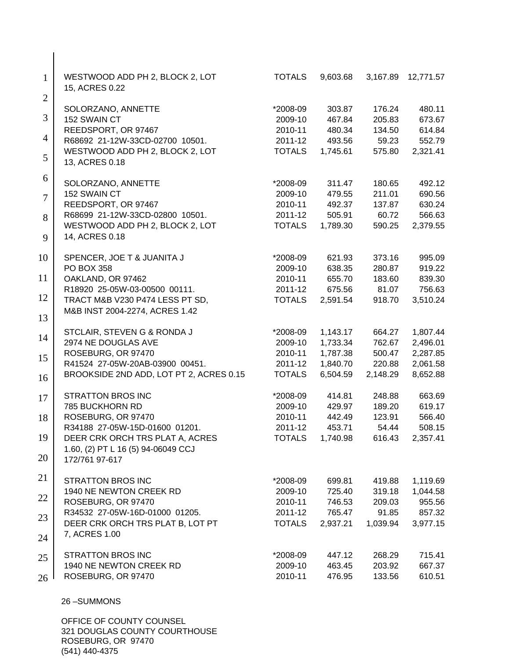| $\mathbf{1}$<br>$\overline{2}$ | WESTWOOD ADD PH 2, BLOCK 2, LOT<br>15, ACRES 0.22    | <b>TOTALS</b> | 9,603.68 | 3,167.89 | 12,771.57 |
|--------------------------------|------------------------------------------------------|---------------|----------|----------|-----------|
|                                | SOLORZANO, ANNETTE                                   | *2008-09      | 303.87   | 176.24   | 480.11    |
| 3                              | 152 SWAIN CT                                         | 2009-10       | 467.84   | 205.83   | 673.67    |
|                                | REEDSPORT, OR 97467                                  | 2010-11       | 480.34   | 134.50   | 614.84    |
| 4                              | R68692 21-12W-33CD-02700 10501.                      | 2011-12       | 493.56   | 59.23    | 552.79    |
| 5                              | WESTWOOD ADD PH 2, BLOCK 2, LOT<br>13, ACRES 0.18    | <b>TOTALS</b> | 1,745.61 | 575.80   | 2,321.41  |
| 6                              | SOLORZANO, ANNETTE                                   | *2008-09      | 311.47   | 180.65   | 492.12    |
|                                | 152 SWAIN CT                                         | 2009-10       | 479.55   | 211.01   | 690.56    |
| $\overline{7}$                 | REEDSPORT, OR 97467                                  | 2010-11       | 492.37   | 137.87   | 630.24    |
| 8                              | R68699 21-12W-33CD-02800 10501.                      | 2011-12       | 505.91   | 60.72    | 566.63    |
|                                | WESTWOOD ADD PH 2, BLOCK 2, LOT                      | <b>TOTALS</b> | 1,789.30 | 590.25   | 2,379.55  |
| 9                              | 14, ACRES 0.18                                       |               |          |          |           |
| 10                             | SPENCER, JOE T & JUANITA J                           | *2008-09      | 621.93   | 373.16   | 995.09    |
|                                | PO BOX 358                                           | 2009-10       | 638.35   | 280.87   | 919.22    |
| 11                             | OAKLAND, OR 97462                                    | 2010-11       | 655.70   | 183.60   | 839.30    |
|                                | R18920 25-05W-03-00500 00111.                        | 2011-12       | 675.56   | 81.07    | 756.63    |
| 12                             | TRACT M&B V230 P474 LESS PT SD,                      | <b>TOTALS</b> | 2,591.54 | 918.70   | 3,510.24  |
| 13                             | M&B INST 2004-2274, ACRES 1.42                       |               |          |          |           |
|                                | STCLAIR, STEVEN G & RONDA J                          | *2008-09      | 1,143.17 | 664.27   | 1,807.44  |
| 14                             | 2974 NE DOUGLAS AVE                                  | 2009-10       | 1,733.34 | 762.67   | 2,496.01  |
| 15                             | ROSEBURG, OR 97470                                   | 2010-11       | 1,787.38 | 500.47   | 2,287.85  |
|                                | R41524 27-05W-20AB-03900 00451.                      | 2011-12       | 1,840.70 | 220.88   | 2,061.58  |
| 16                             | BROOKSIDE 2ND ADD, LOT PT 2, ACRES 0.15              | <b>TOTALS</b> | 6,504.59 | 2,148.29 | 8,652.88  |
| 17                             | <b>STRATTON BROS INC</b>                             | *2008-09      | 414.81   | 248.88   | 663.69    |
|                                | 785 BUCKHORN RD                                      | 2009-10       | 429.97   | 189.20   | 619.17    |
| 18                             | ROSEBURG, OR 97470                                   | 2010-11       | 442.49   | 123.91   | 566.40    |
|                                | R34188 27-05W-15D-01600 01201.                       | 2011-12       | 453.71   | 54.44    | 508.15    |
| 19                             | DEER CRK ORCH TRS PLAT A, ACRES                      | <b>TOTALS</b> | 1,740.98 | 616.43   | 2,357.41  |
| 20                             | 1.60, (2) PT L 16 (5) 94-06049 CCJ<br>172/761 97-617 |               |          |          |           |
| 21                             | <b>STRATTON BROS INC</b>                             | *2008-09      | 699.81   | 419.88   | 1,119.69  |
|                                | 1940 NE NEWTON CREEK RD                              | 2009-10       | 725.40   | 319.18   | 1,044.58  |
| 22                             | ROSEBURG, OR 97470                                   | 2010-11       | 746.53   | 209.03   | 955.56    |
|                                | R34532 27-05W-16D-01000 01205.                       | 2011-12       | 765.47   | 91.85    | 857.32    |
| 23                             | DEER CRK ORCH TRS PLAT B, LOT PT                     | <b>TOTALS</b> | 2,937.21 | 1,039.94 | 3,977.15  |
| 24                             | 7, ACRES 1.00                                        |               |          |          |           |
| 25                             | <b>STRATTON BROS INC</b>                             | *2008-09      | 447.12   | 268.29   | 715.41    |
|                                | 1940 NE NEWTON CREEK RD                              | 2009-10       | 463.45   | 203.92   | 667.37    |
| 26                             | ROSEBURG, OR 97470                                   | 2010-11       | 476.95   | 133.56   | 610.51    |
|                                | 26-SUMMONS                                           |               |          |          |           |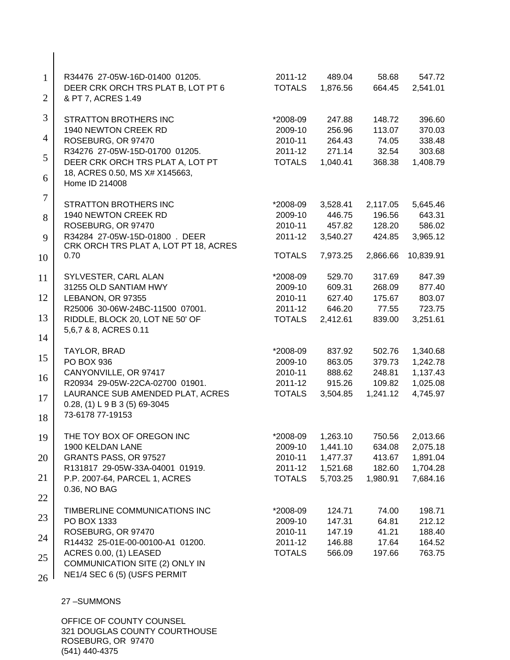| $\mathbf{1}$   | R34476 27-05W-16D-01400 01205.<br>DEER CRK ORCH TRS PLAT B, LOT PT 6                 | 2011-12<br><b>TOTALS</b> | 489.04<br>1,876.56 | 58.68<br>664.45 | 547.72<br>2,541.01 |
|----------------|--------------------------------------------------------------------------------------|--------------------------|--------------------|-----------------|--------------------|
| $\overline{2}$ | & PT 7, ACRES 1.49                                                                   |                          |                    |                 |                    |
| 3              | <b>STRATTON BROTHERS INC</b>                                                         | *2008-09                 | 247.88             | 148.72          | 396.60             |
|                | 1940 NEWTON CREEK RD                                                                 | 2009-10                  | 256.96             | 113.07          | 370.03             |
| 4              | ROSEBURG, OR 97470                                                                   | 2010-11                  | 264.43             | 74.05           | 338.48             |
| 5              | R34276 27-05W-15D-01700 01205.                                                       | 2011-12                  | 271.14             | 32.54           | 303.68             |
| 6              | DEER CRK ORCH TRS PLAT A, LOT PT<br>18, ACRES 0.50, MS X# X145663,<br>Home ID 214008 | <b>TOTALS</b>            | 1,040.41           | 368.38          | 1,408.79           |
| $\tau$         |                                                                                      |                          |                    |                 |                    |
|                | <b>STRATTON BROTHERS INC</b>                                                         | *2008-09                 | 3,528.41           | 2,117.05        | 5,645.46           |
| 8              | 1940 NEWTON CREEK RD                                                                 | 2009-10                  | 446.75             | 196.56          | 643.31             |
|                | ROSEBURG, OR 97470                                                                   | 2010-11                  | 457.82             | 128.20          | 586.02             |
| 9              | R34284 27-05W-15D-01800 . DEER<br>CRK ORCH TRS PLAT A, LOT PT 18, ACRES              | 2011-12                  | 3,540.27           | 424.85          | 3,965.12           |
| 10             | 0.70                                                                                 | <b>TOTALS</b>            | 7,973.25           | 2,866.66        | 10,839.91          |
| 11             | SYLVESTER, CARL ALAN                                                                 | *2008-09                 | 529.70             | 317.69          | 847.39             |
|                | 31255 OLD SANTIAM HWY                                                                | 2009-10                  | 609.31             | 268.09          | 877.40             |
| 12             | LEBANON, OR 97355                                                                    | 2010-11                  | 627.40             | 175.67          | 803.07             |
|                | R25006 30-06W-24BC-11500 07001.                                                      | 2011-12                  | 646.20             | 77.55           | 723.75             |
| 13             | RIDDLE, BLOCK 20, LOT NE 50' OF<br>5,6,7 & 8, ACRES 0.11                             | <b>TOTALS</b>            | 2,412.61           | 839.00          | 3,251.61           |
| 14             |                                                                                      |                          |                    |                 |                    |
|                | TAYLOR, BRAD                                                                         | *2008-09                 | 837.92             | 502.76          | 1,340.68           |
| 15             | PO BOX 936                                                                           | 2009-10                  | 863.05             | 379.73          | 1,242.78           |
| 16             | CANYONVILLE, OR 97417                                                                | 2010-11                  | 888.62             | 248.81          | 1,137.43           |
|                | R20934 29-05W-22CA-02700 01901.                                                      | 2011-12                  | 915.26             | 109.82          | 1,025.08           |
| 17             | LAURANCE SUB AMENDED PLAT, ACRES<br>$0.28$ , (1) L 9 B 3 (5) 69-3045                 | <b>TOTALS</b>            | 3,504.85           | 1,241.12        | 4,745.97           |
| 18             | 73-6178 77-19153                                                                     |                          |                    |                 |                    |
| 19             | THE TOY BOX OF OREGON INC                                                            | *2008-09                 | 1,263.10           | 750.56          | 2,013.66           |
|                | 1900 KELDAN LANE                                                                     | 2009-10                  | 1,441.10           | 634.08          | 2,075.18           |
| 20             | GRANTS PASS, OR 97527                                                                | 2010-11                  | 1,477.37           | 413.67          | 1,891.04           |
|                | R131817 29-05W-33A-04001 01919.                                                      | 2011-12                  | 1,521.68           | 182.60          | 1,704.28           |
| 21             | P.P. 2007-64, PARCEL 1, ACRES<br>0.36, NO BAG                                        | <b>TOTALS</b>            | 5,703.25           | 1,980.91        | 7,684.16           |
| 22             |                                                                                      |                          |                    |                 |                    |
|                | TIMBERLINE COMMUNICATIONS INC                                                        | *2008-09                 | 124.71             | 74.00           | 198.71             |
| 23             | PO BOX 1333                                                                          | 2009-10                  | 147.31             | 64.81           | 212.12             |
| 24             | ROSEBURG, OR 97470                                                                   | 2010-11                  | 147.19             | 41.21           | 188.40             |
|                | R14432 25-01E-00-00100-A1 01200.                                                     | 2011-12                  | 146.88             | 17.64           | 164.52             |
| 25             | ACRES 0.00, (1) LEASED<br>COMMUNICATION SITE (2) ONLY IN                             | <b>TOTALS</b>            | 566.09             | 197.66          | 763.75             |
| 26             | NE1/4 SEC 6 (5) (USFS PERMIT                                                         |                          |                    |                 |                    |
|                |                                                                                      |                          |                    |                 |                    |

 $\overline{\phantom{a}}$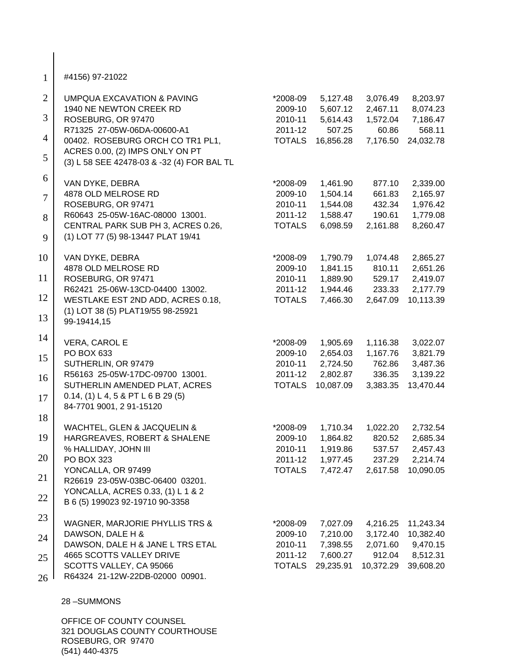| $\mathbf{1}$   | #4156) 97-21022                                                          |                    |                      |                  |                      |
|----------------|--------------------------------------------------------------------------|--------------------|----------------------|------------------|----------------------|
| $\overline{2}$ | <b>UMPQUA EXCAVATION &amp; PAVING</b>                                    | *2008-09           | 5,127.48             | 3,076.49         | 8,203.97             |
|                | 1940 NE NEWTON CREEK RD                                                  | 2009-10            | 5,607.12             | 2,467.11         | 8,074.23             |
| 3              | ROSEBURG, OR 97470                                                       | 2010-11            | 5,614.43             | 1,572.04         | 7,186.47             |
| 4              | R71325 27-05W-06DA-00600-A1                                              | 2011-12            | 507.25               | 60.86            | 568.11               |
|                | 00402. ROSEBURG ORCH CO TR1 PL1,<br>ACRES 0.00, (2) IMPS ONLY ON PT      | <b>TOTALS</b>      | 16,856.28            | 7,176.50         | 24,032.78            |
| 5              | (3) L 58 SEE 42478-03 & -32 (4) FOR BAL TL                               |                    |                      |                  |                      |
| 6              | VAN DYKE, DEBRA                                                          | *2008-09           | 1,461.90             | 877.10           | 2,339.00             |
| $\overline{7}$ | 4878 OLD MELROSE RD                                                      | 2009-10            | 1,504.14             | 661.83           | 2,165.97             |
|                | ROSEBURG, OR 97471                                                       | 2010-11            | 1,544.08             | 432.34           | 1,976.42             |
| 8              | R60643 25-05W-16AC-08000 13001.                                          | 2011-12            | 1,588.47             | 190.61           | 1,779.08             |
| 9              | CENTRAL PARK SUB PH 3, ACRES 0.26,<br>(1) LOT 77 (5) 98-13447 PLAT 19/41 | <b>TOTALS</b>      | 6,098.59             | 2,161.88         | 8,260.47             |
| 10             | VAN DYKE, DEBRA                                                          | *2008-09           | 1,790.79             | 1,074.48         | 2,865.27             |
|                | 4878 OLD MELROSE RD                                                      | 2009-10            | 1,841.15             | 810.11           | 2,651.26             |
| 11             | ROSEBURG, OR 97471                                                       | 2010-11            | 1,889.90             | 529.17           | 2,419.07             |
|                | R62421 25-06W-13CD-04400 13002.                                          | 2011-12            | 1,944.46             | 233.33           | 2,177.79             |
| 12             | WESTLAKE EST 2ND ADD, ACRES 0.18,                                        | <b>TOTALS</b>      | 7,466.30             | 2,647.09         | 10,113.39            |
| 13             | (1) LOT 38 (5) PLAT19/55 98-25921<br>99-19414,15                         |                    |                      |                  |                      |
| 14             | VERA, CAROL E                                                            | *2008-09           | 1,905.69             | 1,116.38         | 3,022.07             |
|                | PO BOX 633                                                               | 2009-10            | 2,654.03             | 1,167.76         | 3,821.79             |
| 15             | SUTHERLIN, OR 97479                                                      | 2010-11            | 2,724.50             | 762.86           | 3,487.36             |
| 16             | R56163 25-05W-17DC-09700 13001.                                          | 2011-12            | 2,802.87             | 336.35           | 3,139.22             |
|                | SUTHERLIN AMENDED PLAT, ACRES                                            | <b>TOTALS</b>      | 10,087.09            | 3,383.35         | 13,470.44            |
| 17             | $0.14$ , (1) L 4, 5 & PT L 6 B 29 (5)<br>84-7701 9001, 2 91-15120        |                    |                      |                  |                      |
| 18             |                                                                          |                    |                      |                  |                      |
|                | WACHTEL, GLEN & JACQUELIN &                                              | *2008-09           | 1,710.34             | 1,022.20         | 2,732.54             |
| 19             | HARGREAVES, ROBERT & SHALENE<br>% HALLIDAY, JOHN III                     | 2009-10<br>2010-11 | 1,864.82<br>1,919.86 | 820.52<br>537.57 | 2,685.34             |
| 20             | PO BOX 323                                                               | 2011-12            | 1,977.45             | 237.29           | 2,457.43<br>2,214.74 |
|                | YONCALLA, OR 97499                                                       | <b>TOTALS</b>      | 7,472.47             | 2,617.58         | 10,090.05            |
| 21             | R26619 23-05W-03BC-06400 03201.                                          |                    |                      |                  |                      |
|                | YONCALLA, ACRES 0.33, (1) L 1 & 2                                        |                    |                      |                  |                      |
| 22             | B 6 (5) 199023 92-19710 90-3358                                          |                    |                      |                  |                      |
| 23             | WAGNER, MARJORIE PHYLLIS TRS &                                           | *2008-09           | 7,027.09             | 4,216.25         | 11,243.34            |
| 24             | DAWSON, DALE H &                                                         | 2009-10            | 7,210.00             | 3,172.40         | 10,382.40            |
|                | DAWSON, DALE H & JANE L TRS ETAL                                         | 2010-11            | 7,398.55             | 2,071.60         | 9,470.15             |
| 25             | 4665 SCOTTS VALLEY DRIVE                                                 | 2011-12            | 7,600.27             | 912.04           | 8,512.31             |
|                | SCOTTS VALLEY, CA 95066                                                  | <b>TOTALS</b>      | 29,235.91            | 10,372.29        | 39,608.20            |
| 26             | R64324 21-12W-22DB-02000 00901.                                          |                    |                      |                  |                      |
|                | 28-SUMMONS                                                               |                    |                      |                  |                      |
|                |                                                                          |                    |                      |                  |                      |

 $\overline{\phantom{a}}$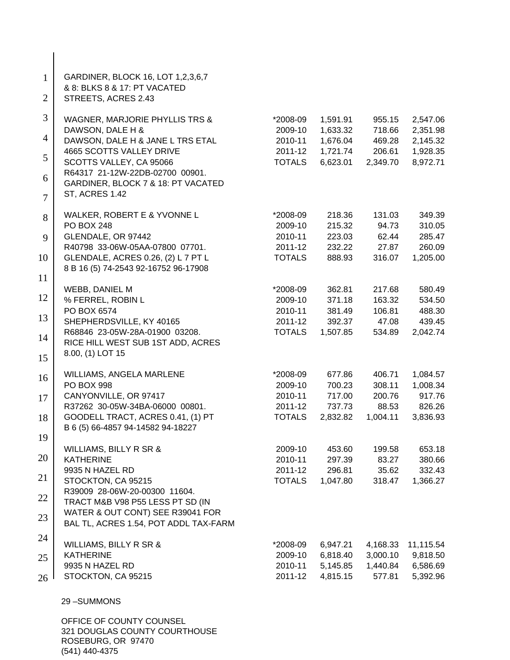| $\mathbf{1}$<br>$\overline{2}$ | GARDINER, BLOCK 16, LOT 1,2,3,6,7<br>& 8: BLKS 8 & 17: PT VACATED<br>STREETS, ACRES 2.43 |                          |                    |                 |                    |
|--------------------------------|------------------------------------------------------------------------------------------|--------------------------|--------------------|-----------------|--------------------|
| 3                              | WAGNER, MARJORIE PHYLLIS TRS &                                                           | *2008-09                 | 1,591.91           | 955.15          | 2,547.06           |
|                                | DAWSON, DALE H &                                                                         | 2009-10                  | 1,633.32           | 718.66          | 2,351.98           |
| 4                              | DAWSON, DALE H & JANE L TRS ETAL                                                         | 2010-11                  | 1,676.04           | 469.28          | 2,145.32           |
| 5                              | 4665 SCOTTS VALLEY DRIVE                                                                 | 2011-12                  | 1,721.74           | 206.61          | 1,928.35           |
|                                | SCOTTS VALLEY, CA 95066                                                                  | <b>TOTALS</b>            | 6,623.01           | 2,349.70        | 8,972.71           |
| 6                              | R64317 21-12W-22DB-02700 00901.                                                          |                          |                    |                 |                    |
| $\overline{7}$                 | GARDINER, BLOCK 7 & 18: PT VACATED<br>ST, ACRES 1.42                                     |                          |                    |                 |                    |
| 8                              | WALKER, ROBERT E & YVONNE L                                                              | *2008-09                 | 218.36             | 131.03          | 349.39             |
|                                | <b>PO BOX 248</b>                                                                        | 2009-10                  | 215.32             | 94.73           | 310.05             |
| 9                              | GLENDALE, OR 97442                                                                       | 2010-11                  | 223.03             | 62.44           | 285.47             |
|                                | R40798 33-06W-05AA-07800 07701.                                                          | 2011-12                  | 232.22             | 27.87           | 260.09             |
| 10                             | <b>GLENDALE, ACRES 0.26, (2) L 7 PT L</b><br>8 B 16 (5) 74-2543 92-16752 96-17908        | <b>TOTALS</b>            | 888.93             | 316.07          | 1,205.00           |
| 11                             |                                                                                          |                          |                    |                 |                    |
|                                | <b>WEBB, DANIEL M</b>                                                                    | *2008-09                 | 362.81             | 217.68          | 580.49             |
| 12                             | % FERREL, ROBIN L                                                                        | 2009-10                  | 371.18             | 163.32          | 534.50             |
| 13                             | PO BOX 6574                                                                              | 2010-11                  | 381.49             | 106.81          | 488.30             |
|                                | SHEPHERDSVILLE, KY 40165<br>R68846 23-05W-28A-01900 03208.                               | 2011-12<br><b>TOTALS</b> | 392.37<br>1,507.85 | 47.08<br>534.89 | 439.45<br>2,042.74 |
| 14                             | RICE HILL WEST SUB 1ST ADD, ACRES                                                        |                          |                    |                 |                    |
| 15                             | 8.00, (1) LOT 15                                                                         |                          |                    |                 |                    |
|                                | WILLIAMS, ANGELA MARLENE                                                                 | *2008-09                 | 677.86             | 406.71          | 1,084.57           |
| 16                             | <b>PO BOX 998</b>                                                                        | 2009-10                  | 700.23             | 308.11          | 1,008.34           |
| 17                             | CANYONVILLE, OR 97417                                                                    | 2010-11                  | 717.00             | 200.76          | 917.76             |
|                                | R37262 30-05W-34BA-06000 00801.                                                          | 2011-12                  | 737.73             | 88.53           | 826.26             |
| 18                             | GOODELL TRACT, ACRES 0.41, (1) PT                                                        | <b>TOTALS</b>            | 2,832.82           | 1,004.11        | 3,836.93           |
| 19                             | B 6 (5) 66-4857 94-14582 94-18227                                                        |                          |                    |                 |                    |
|                                | WILLIAMS, BILLY R SR &                                                                   | 2009-10                  | 453.60             | 199.58          | 653.18             |
| 20                             | <b>KATHERINE</b>                                                                         | 2010-11                  | 297.39             | 83.27           | 380.66             |
| 21                             | 9935 N HAZEL RD                                                                          | 2011-12                  | 296.81             | 35.62           | 332.43             |
|                                | STOCKTON, CA 95215                                                                       | <b>TOTALS</b>            | 1,047.80           | 318.47          | 1,366.27           |
| 22                             | R39009 28-06W-20-00300 11604.<br>TRACT M&B V98 P55 LESS PT SD (IN                        |                          |                    |                 |                    |
| 23                             | WATER & OUT CONT) SEE R39041 FOR                                                         |                          |                    |                 |                    |
|                                | BAL TL, ACRES 1.54, POT ADDL TAX-FARM                                                    |                          |                    |                 |                    |
| 24                             | WILLIAMS, BILLY R SR &                                                                   | *2008-09                 | 6,947.21           | 4,168.33        | 11,115.54          |
| 25                             | <b>KATHERINE</b>                                                                         | 2009-10                  | 6,818.40           | 3,000.10        | 9,818.50           |
|                                | 9935 N HAZEL RD                                                                          | 2010-11                  | 5,145.85           | 1,440.84        | 6,586.69           |
| 26                             | STOCKTON, CA 95215                                                                       | 2011-12                  | 4,815.15           | 577.81          | 5,392.96           |
|                                | 29-SUMMONS                                                                               |                          |                    |                 |                    |
|                                | OFFICE OF COUNTY COUNSEL                                                                 |                          |                    |                 |                    |
|                                |                                                                                          |                          |                    |                 |                    |

321 DOUGLAS COUNTY COURTHOUSE ROSEBURG, OR 97470 (541) 440-4375

 $\Big\}$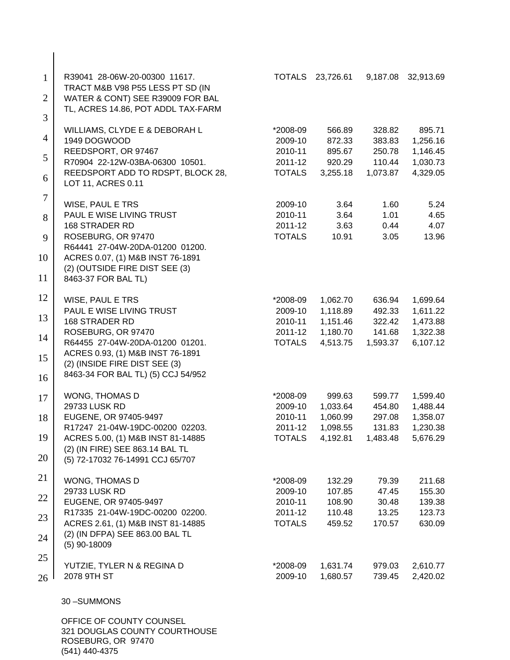| $\mathbf{1}$<br>$\overline{2}$ | R39041 28-06W-20-00300 11617.<br>TRACT M&B V98 P55 LESS PT SD (IN<br>WATER & CONT) SEE R39009 FOR BAL<br>TL, ACRES 14.86, POT ADDL TAX-FARM                                                                                        | <b>TOTALS</b>                                              | 23,726.61                                                | 9,187.08                                         | 32,913.69                                                |
|--------------------------------|------------------------------------------------------------------------------------------------------------------------------------------------------------------------------------------------------------------------------------|------------------------------------------------------------|----------------------------------------------------------|--------------------------------------------------|----------------------------------------------------------|
| 3<br>$\overline{4}$<br>5       | WILLIAMS, CLYDE E & DEBORAH L<br>1949 DOGWOOD<br>REEDSPORT, OR 97467                                                                                                                                                               | *2008-09<br>2009-10<br>2010-11                             | 566.89<br>872.33<br>895.67                               | 328.82<br>383.83<br>250.78                       | 895.71<br>1,256.16<br>1,146.45                           |
| 6                              | R70904 22-12W-03BA-06300 10501.<br>REEDSPORT ADD TO RDSPT, BLOCK 28,<br>LOT 11, ACRES 0.11                                                                                                                                         | 2011-12<br><b>TOTALS</b>                                   | 920.29<br>3,255.18                                       | 110.44<br>1,073.87                               | 1,030.73<br>4,329.05                                     |
| $\tau$<br>8<br>9<br>10<br>11   | WISE, PAUL E TRS<br>PAUL E WISE LIVING TRUST<br><b>168 STRADER RD</b><br>ROSEBURG, OR 97470<br>R64441 27-04W-20DA-01200 01200.<br>ACRES 0.07, (1) M&B INST 76-1891<br>(2) (OUTSIDE FIRE DIST SEE (3)<br>8463-37 FOR BAL TL)        | 2009-10<br>2010-11<br>2011-12<br><b>TOTALS</b>             | 3.64<br>3.64<br>3.63<br>10.91                            | 1.60<br>1.01<br>0.44<br>3.05                     | 5.24<br>4.65<br>4.07<br>13.96                            |
| 12<br>13<br>14<br>15<br>16     | WISE, PAUL E TRS<br>PAUL E WISE LIVING TRUST<br>168 STRADER RD<br>ROSEBURG, OR 97470<br>R64455 27-04W-20DA-01200 01201.<br>ACRES 0.93, (1) M&B INST 76-1891<br>(2) (INSIDE FIRE DIST SEE (3)<br>8463-34 FOR BAL TL) (5) CCJ 54/952 | *2008-09<br>2009-10<br>2010-11<br>2011-12<br><b>TOTALS</b> | 1,062.70<br>1,118.89<br>1,151.46<br>1,180.70<br>4,513.75 | 636.94<br>492.33<br>322.42<br>141.68<br>1,593.37 | 1,699.64<br>1,611.22<br>1,473.88<br>1,322.38<br>6,107.12 |
| 17<br>18<br>19<br>20           | WONG, THOMAS D<br>29733 LUSK RD<br>EUGENE, OR 97405-9497<br>R17247 21-04W-19DC-00200 02203.<br>ACRES 5.00, (1) M&B INST 81-14885<br>(2) (IN FIRE) SEE 863.14 BAL TL<br>(5) 72-17032 76-14991 CCJ 65/707                            | *2008-09<br>2009-10<br>2010-11<br>2011-12<br><b>TOTALS</b> | 999.63<br>1,033.64<br>1,060.99<br>1,098.55<br>4,192.81   | 599.77<br>454.80<br>297.08<br>131.83<br>1,483.48 | 1,599.40<br>1,488.44<br>1,358.07<br>1,230.38<br>5,676.29 |
| 21<br>22<br>23<br>24<br>25     | WONG, THOMAS D<br>29733 LUSK RD<br>EUGENE, OR 97405-9497<br>R17335 21-04W-19DC-00200 02200.<br>ACRES 2.61, (1) M&B INST 81-14885<br>(2) (IN DFPA) SEE 863.00 BAL TL<br>$(5)$ 90-18009                                              | *2008-09<br>2009-10<br>2010-11<br>2011-12<br><b>TOTALS</b> | 132.29<br>107.85<br>108.90<br>110.48<br>459.52           | 79.39<br>47.45<br>30.48<br>13.25<br>170.57       | 211.68<br>155.30<br>139.38<br>123.73<br>630.09           |
| 26                             | YUTZIE, TYLER N & REGINA D<br>2078 9TH ST                                                                                                                                                                                          | *2008-09<br>2009-10                                        | 1,631.74<br>1,680.57                                     | 979.03<br>739.45                                 | 2,610.77<br>2,420.02                                     |